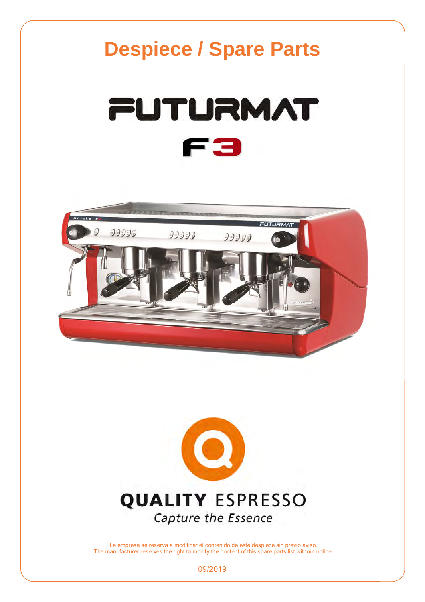



La empresa se reserva a modificar el contenido de este despiece sin previo aviso. The manufacturer reserves the right to modify the content of this spare parts list without notice.

09/2019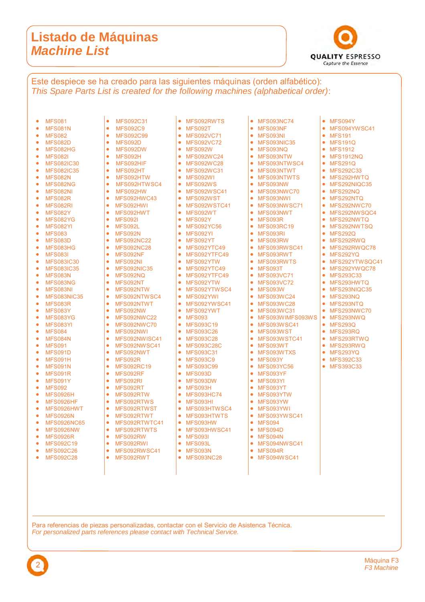#### **Listado de Máquinas**  *Machine List*

2



• MFS094Y<br>• MFS094Y MFS094YWSC41

• MFS191 • MFS191Q • MFS1912 MFS1912NQ • MFS291Q • MFS292C33 • MFS292HWTQ • MFS292NIQC35 **MES292NQ** • MFS292NTQ  $\bullet$  MFS292NWC70 • MFS292NWSQC4 MFS292NWTQ • MFS292NWTSQ MFS292Q • MFS292RWQ • MFS292RWQC78 MFS292YQ • MFS292YTWSQC41 • MFS292YWQC78 • MFS293C33 • MFS293HWTQ • MFS293NIQC35 • MFS293NQ • MFS293NTQ • MFS293NWC70 MFS293NWQ • MFS293Q • MFS293RQ • MFS293RTWQ • MFS293RWQ MFS293YQ • MFS392C33 • MFS393C33

Este despiece se ha creado para las siguientes máquinas (orden alfabético): *This Spare Parts List is created for the following machines (alphabetical order)*:

| 0<br>$\bullet$ | <b>MFS081</b><br><b>MFS081N</b> | $\bullet$<br>$\bullet$ | <b>MFS092C31</b><br><b>MFS092C9</b> |
|----------------|---------------------------------|------------------------|-------------------------------------|
| $\bullet$      | <b>MFS082</b>                   | ٠                      | <b>MFS092C99</b>                    |
|                | <b>MFS082D</b>                  | ۰                      | <b>MFS092D</b>                      |
|                | MFS082HG                        | $\bullet$              | MFS092DW                            |
|                | <b>MFS082I</b>                  | $\bullet$              | MFS092H                             |
|                | <b>MFS082IC30</b>               | $\bullet$              | MFS092HIF                           |
|                | <b>MFS082IC35</b>               | $\bullet$              | MFS092HT                            |
|                | <b>MFS082N</b>                  | $\bullet$              | MFS092HTW                           |
|                | MFS082NG                        | $\bullet$              | MFS092HTWSC4                        |
|                | <b>MFS082NI</b>                 | $\bullet$              | MFS092HW                            |
|                | <b>MFS082R</b>                  | $\bullet$              | <b>MFS092HWC43</b>                  |
|                | MFS082RI                        | $\bullet$              | MFS092HW1                           |
|                | <b>MFS082Y</b>                  | $\bullet$              | MFS092HWT                           |
|                | <b>MFS082YG</b>                 | $\bullet$              | <b>MFS092I</b>                      |
|                | <b>MFS082YI</b>                 | $\bullet$              | <b>MFS092L</b>                      |
|                | <b>MFS083</b>                   | $\bullet$              | <b>MFS092N</b>                      |
|                | <b>MFS083D</b>                  | $\bullet$              | <b>MFS092NC22</b>                   |
|                | MFS083HG                        | $\bullet$              | <b>MFS092NC28</b>                   |
|                | <b>MFS083I</b>                  | $\bullet$              | MFS092NF                            |
|                | <b>MFS083IC30</b>               | $\bullet$              | MFS092NI                            |
|                | <b>MFS083IC35</b>               | $\bullet$              | <b>MFS092NIC35</b>                  |
|                | <b>MFS083N</b>                  | $\bullet$              | MFS092NO                            |
|                | MFS083NG                        | $\bullet$              | MFS092NT                            |
|                | <b>MFS083NI</b>                 | $\bullet$              | MFS092NTW                           |
|                | <b>MFS083NIC35</b>              | $\bullet$              | MFS092NTWSC4                        |
|                | <b>MFS083R</b>                  | $\bullet$              | MFS092NTWT                          |
|                | <b>MFS083Y</b>                  | $\bullet$              | MFS092NW                            |
|                | <b>MFS083YG</b>                 | $\bullet$              | <b>MFS092NWC22</b>                  |
|                | <b>MFS083YI</b>                 | $\bullet$              | <b>MFS092NWC70</b>                  |
|                | <b>MFS084</b>                   | $\bullet$              | MFS092NW1                           |
|                | <b>MFS084N</b>                  | $\bullet$              | MFS092NWISC41                       |
|                | <b>MFS091</b>                   | $\bullet$              | MFS092NWSC41                        |
|                | <b>MFS091D</b>                  | $\bullet$              | MFS092NWT                           |
|                | <b>MFS091H</b>                  | $\bullet$              | MFS092R                             |
|                | <b>MFS091N</b>                  | $\bullet$              | <b>MFS092RC19</b>                   |
|                | <b>MFS091R</b>                  | $\bullet$              | MFS092RF                            |
|                | <b>MFS091Y</b>                  | $\bullet$              | MFS092RI                            |
|                | <b>MFS092</b>                   | $\bullet$              | MFS092RT                            |
|                | <b>MFS0926H</b>                 | $\bullet$              | MFS092RTW                           |
|                | <b>MFS0926HF</b>                | $\bullet$              | MFS092RTWS                          |
|                | MFS0926HWT                      | $\bullet$              | MFS092RTWST                         |
|                | <b>MFS0926N</b>                 | $\bullet$              | MFS092RTWT                          |
|                | <b>MFS0926NC65</b>              | $\bullet$              | MFS092RTWTC41                       |
|                | <b>MFS0926NW</b>                | ۰                      | MFS092RTWTS                         |
|                | <b>MFS0926R</b>                 | $\bullet$              | MFS092RW                            |
|                | <b>MFS092C19</b>                | ٠                      | MFS092RWI                           |
|                | <b>MFS092C26</b>                | $\bullet$              | MFS092RWSC41                        |
|                | <b>MFS092C28</b>                | $\bullet$              | MFS092RWT                           |

- MFS092RWTS<br>• MFS092T
- MFS092T
- MFS092VC71<br>• MFS092VC72 MFS092VC72
- MFS092W
- MFS092WC24
- 
- MFS092WC28 ● MFS092WC31
- MFS092WI
- MFS092WS
- MFS092WSC41
- MFS092WST
- MFS092WSTC41
- MFS092WT
- 
- MFS092Y<br>• MES092YO MFS092YC56
- 
- MFS092YI<br>• MFS092YT MFS092YT
- MFS092YTC49
- 
- MFS092YTFC49<br>• MFS092YTW
- MFS092YTW<br>• MFS092YTC4
- MFS092YTC49
	- MFS092YTFC49<br>• MFS092YTW MFS092YTW
	-
	- **MFS092YTWSC4**<br>• MES092YWL MFS092YWI
	- MFS092YWSC41
	- MFS092YWT<br>• MFS093
- MFS093
- MFS093C19
- MFS093C26
- MFS093C28
- MFS093C28C<br>• MFS093C31
- MFS093C31
- MFS093C9
- MFS093C99
- MFS093D
- 
- MFS093DW
- MFS093H
- MFS093HC74<br>• MES093HL
- MFS093HI
- MFS093HTWSC4
- MFS093HTWTS
- MFS093HW
- MFS093HWSC41
- MFS093I
- 
- MFS093L

Para referencias de piezas personalizadas, contactar con el Servicio de Asistenca Técnica.

*For personalized parts references please contact with Technical Service.*

- MFS093N<br>• MES093N
- MFS093NC28
- MFS093NC74<br>• MFS093NF
- MFS093NF
- MFS093NI
- MFS093NIC35 MFS093NQ
- MFS093NTW
- MFS093NTWSC4
- MFS093NTWT
- MFS093NTWTS
- MFS093NW
- MFS093NWC70
- MFS093NWI
- MFS093NWSC71
- MFS093NWT
- MFS093R
- MFS093RC19
- MFS093RI
- MFS093RW
- **MFS093RWSC41**
- MFS093RWT
- MFS093RWTS
- 
- MFS093T
- MFS093VC71
- MFS093VC72
- MFS093W
- MFS093WC24
- MFS093WC28
- MFS093WC31
- MFS093WIMFS093WS
- MFS093WSC41
- MFS093WST
- MFS093WSTC41
- MFS093WT
- MFS093WTXS
- MFS093Y
- MFS093YC56
- MFS093YF
- MFS093YI
- MFS093YT
- MFS093YTW
- MFS093YW
- MFS093YWI
- MFS093YWSC41

• MFS094NWSC41 • MFS094R MFS094WSC41

> Máquina F3 *F3 Machine*

- MFS094
- MFS094D
- MFS094N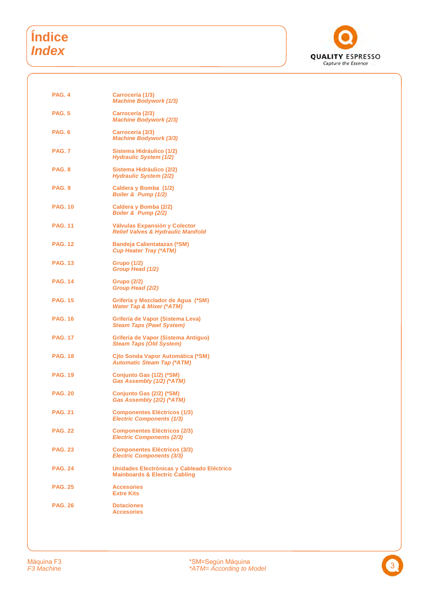## **Índice**  *Index*



| <b>PAG. 4</b>  | Carrocería (1/3)<br><b>Machine Bodywork (1/3)</b>                                      |
|----------------|----------------------------------------------------------------------------------------|
| <b>PAG. 5</b>  | Carrocería (2/3)<br><b>Machine Bodywork (2/3)</b>                                      |
| PAG. 6         | Carrocería (3/3)<br><b>Machine Bodywork (3/3)</b>                                      |
| <b>PAG. 7</b>  | Sistema Hidráulico (1/2)<br>Hydraulic System (1/2)                                     |
| <b>PAG. 8</b>  | Sistema Hidráulico (2/2)<br><b>Hydraulic System (2/2)</b>                              |
| PAG. 9         | Caldera y Bomba (1/2)<br>Boiler & Pump (1/2)                                           |
| <b>PAG. 10</b> | Caldera y Bomba (2/2)<br>Boiler & Pump (2/2)                                           |
| <b>PAG. 11</b> | Válvulas Expansión y Colector<br><b>Relief Valves &amp; Hydraulic Manifold</b>         |
| <b>PAG. 12</b> | <b>Bandeja Calientatazas (*SM)</b><br><b>Cup Heater Tray (*ATM)</b>                    |
| <b>PAG. 13</b> | <b>Grupo (1/2)</b><br>Group Head (1/2)                                                 |
| <b>PAG. 14</b> | <b>Grupo (2/2)</b><br>Group Head (2/2)                                                 |
| <b>PAG. 15</b> | Grifería y Mezclador de Agua (*SM)<br><b>Water Tap &amp; Mixer (*ATM)</b>              |
| <b>PAG. 16</b> | Grifería de Vapor (Sistema Leva)<br><b>Steam Taps (Pawl System)</b>                    |
| <b>PAG. 17</b> | Grifería de Vapor (Sistema Antiguo)<br><b>Steam Taps (Old System)</b>                  |
| <b>PAG. 18</b> | Cito Sonda Vapor Automática (*SM)<br><b>Automatic Steam Tap (*ATM)</b>                 |
| <b>PAG. 19</b> | Conjunto Gas (1/2) (*SM)<br>Gas Assembly (1/2) (*ATM)                                  |
| <b>PAG. 20</b> | Conjunto Gas (2/2) (*SM)<br>Gas Assembly (2/2) (*ATM)                                  |
| <b>PAG. 21</b> | <b>Componentes Eléctricos (1/3)</b><br><b>Electric Components (1/3)</b>                |
| <b>PAG. 22</b> | <b>Componentes Eléctricos (2/3)</b><br><b>Electric Components (2/3)</b>                |
| <b>PAG. 23</b> | <b>Componentes Eléctricos (3/3)</b><br><b>Electric Components (3/3)</b>                |
| <b>PAG. 24</b> | Unidades Electrónicas y Cableado Eléctrico<br><b>Mainboards &amp; Electric Cabling</b> |
| <b>PAG. 25</b> | <b>Accesories</b><br><b>Extre Kits</b>                                                 |
| <b>PAG. 26</b> | <b>Dotaciones</b><br><b>Accesories</b>                                                 |
|                |                                                                                        |

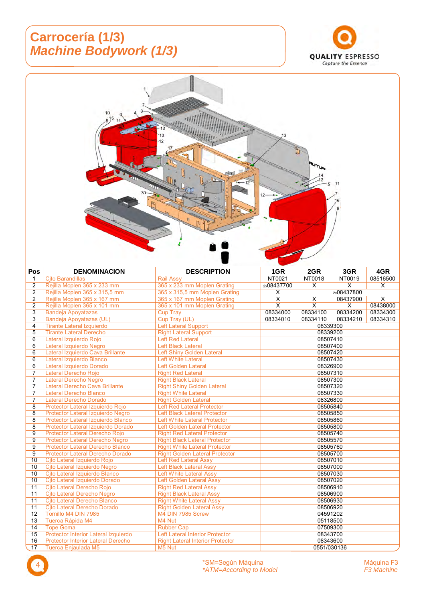## **Carrocería (1/3)**  *Machine Bodywork (1/3)*





| Pos            | <b>DENOMINACION</b>                       | <b>DESCRIPTION</b>                      | 1GR                     | 2GR                     | 3GR        | 4GR                     |
|----------------|-------------------------------------------|-----------------------------------------|-------------------------|-------------------------|------------|-------------------------|
| 1              | <b>Cito Barandillas</b>                   | <b>Rail Assy</b>                        | NT0021                  | NT0018                  | NT0019     | 08516500                |
| 2              | Rejilla Moplen 365 x 233 mm               | 365 x 233 mm Moplen Grating             | 2x08437700              | X                       | X          | X                       |
| 2              | Rejilla Moplen 365 x 315,5 mm             | 365 x 315,5 mm Moplen Grating           | X                       |                         | 2x08437800 |                         |
| $\overline{2}$ | Rejilla Moplen 365 x 167 mm               | 365 x 167 mm Moplen Grating             | $\overline{\mathsf{x}}$ | $\overline{\mathsf{x}}$ | 08437900   | $\overline{\mathsf{x}}$ |
| $\overline{2}$ | Rejilla Moplen 365 x 101 mm               | 365 x 101 mm Moplen Grating             | $\overline{\mathsf{x}}$ | $\overline{\mathsf{x}}$ | X          | 08438000                |
| 3              | <b>Bandeja Apoyatazas</b>                 | <b>Cup Tray</b>                         | 08334000                | 08334100                | 08334200   | 08334300                |
| 3              | <b>Bandeja Apoyatazas (UL)</b>            | Cup Tray (UL)                           | 08334010                | 08334110                | 08334210   | 08334310                |
| 4              | <b>Tirante Lateral Izquierdo</b>          | <b>Left Lateral Support</b>             |                         | 08339300                |            |                         |
| 5              | <b>Tirante Lateral Derecho</b>            | <b>Right Lateral Support</b>            |                         | 08339200                |            |                         |
| 6              | Lateral Izquierdo Rojo                    | <b>Left Red Lateral</b>                 |                         | 08507410                |            |                         |
| 6              | Lateral Izquierdo Negro                   | <b>Left Black Lateral</b>               |                         | 08507400                |            |                         |
| 6              | Lateral Izquierdo Cava Brillante          | Left Shiny Golden Lateral               |                         | 08507420                |            |                         |
| 6              | Lateral Izquierdo Blanco                  | <b>Left White Lateral</b>               |                         | 08507430                |            |                         |
| 6              | Lateral Izquierdo Dorado                  | <b>Left Golden Lateral</b>              |                         | 08326900                |            |                         |
| $\overline{7}$ | Lateral Derecho Roio                      | <b>Right Red Lateral</b>                |                         | 08507310                |            |                         |
| $\overline{7}$ | Lateral Derecho Negro                     | <b>Right Black Lateral</b>              |                         | 08507300                |            |                         |
| $\overline{7}$ | Lateral Derecho Cava Brillante            | <b>Right Shiny Golden Lateral</b>       |                         | 08507320                |            |                         |
| $\overline{7}$ | Lateral Derecho Blanco                    | <b>Right White Lateral</b>              |                         | 08507330                |            |                         |
| 7              | Lateral Derecho Dorado                    | <b>Right Golden Lateral</b>             |                         | 08326800                |            |                         |
| 8              | Protector Lateral Izquierdo Rojo          | <b>Left Red Lateral Protector</b>       |                         | 08505840                |            |                         |
| 8              | Protector Lateral Izquierdo Negro         | <b>Left Black Lateral Protector</b>     | 08505850                |                         |            |                         |
| 8              | Protector Lateral Izquierdo Blanco        | <b>Left White Lateral Protector</b>     | 08505860                |                         |            |                         |
| 8              | Protector Lateral Izquierdo Dorado        | <b>Left Golden Lateral Protector</b>    |                         | 08505800                |            |                         |
| 9              | Protector Lateral Derecho Rojo            | <b>Right Red Lateral Protector</b>      |                         | 08505740                |            |                         |
| $\overline{9}$ | <b>Protector Lateral Derecho Negro</b>    | <b>Right Black Lateral Protector</b>    |                         | 08505570                |            |                         |
| 9              | <b>Protector Lateral Derecho Blanco</b>   | <b>Right White Lateral Protector</b>    |                         | 08505760                |            |                         |
| 9              | Protector Lateral Derecho Dorado          | <b>Right Golden Lateral Protector</b>   |                         | 08505700                |            |                         |
| 10             | Cito Lateral Izquierdo Rojo               | <b>Left Red Lateral Assy</b>            |                         | 08507010                |            |                         |
| 10             | Cito Lateral Izquierdo Negro              | Left Black Lateral Assy                 |                         | 08507000                |            |                         |
| 10             | Cito Lateral Izquierdo Blanco             | <b>Left White Lateral Assv</b>          |                         | 08507030                |            |                         |
| 10             | Cito Lateral Izquierdo Dorado             | Left Golden Lateral Assy                |                         | 08507020                |            |                         |
| 11             | Cito Lateral Derecho Rojo                 | <b>Right Red Lateral Assy</b>           |                         | 08506910                |            |                         |
| 11             | Cito Lateral Derecho Negro                | <b>Right Black Lateral Assy</b>         |                         | 08506900                |            |                         |
| 11             | Cito Lateral Derecho Blanco               | <b>Right White Lateral Assy</b>         | 08506930                |                         |            |                         |
| 11             | Cito Lateral Derecho Dorado               | <b>Right Golden Lateral Assy</b>        | 08506920                |                         |            |                         |
| 12             | Tornillo M4 DIN 7985                      | M4 DIN 7985 Screw                       | 04591202                |                         |            |                         |
| 13             | Tuerca Rápida M4                          | M4 Nut                                  | 05118500                |                         |            |                         |
| 14             | <b>Tope Goma</b>                          | <b>Rubber Cap</b>                       | 07509300                |                         |            |                         |
| 15             | Protector Interior Lateral Izquierdo      | Left Lateral Interior Protector         |                         | 08343700                |            |                         |
| 16             | <b>Protector Interior Lateral Derecho</b> | <b>Right Lateral Interior Protector</b> |                         | 08343600                |            |                         |
| 17             | Tuerca Enjaulada M5                       | M5 Nut                                  |                         | 0551/030136             |            |                         |

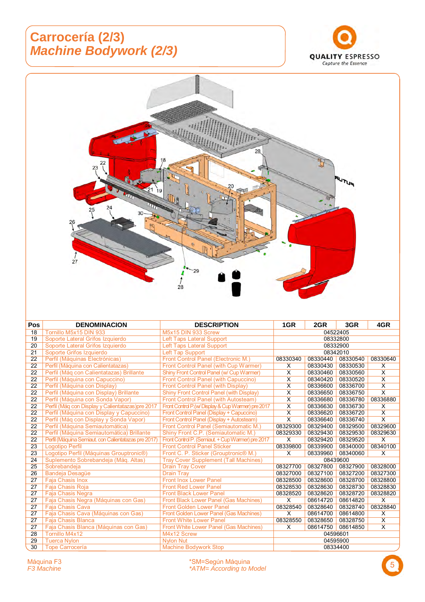#### **Carrocería (2/3)**  *Machine Bodywork (2/3)*





5 Máquina F3 \*SM=Según Máquina *F3 Machine \*ATM= According to Model*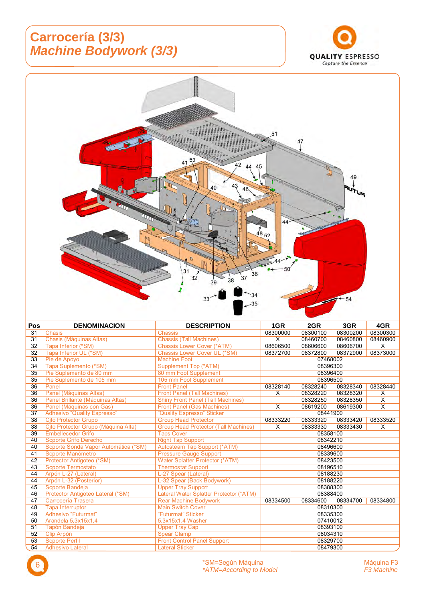## **Carrocería (3/3)**  *Machine Bodywork (3/3)*





| Pos             | <b>DENOMINACION</b>                  | <b>DESCRIPTION</b>                          | 1GR      | 2GR      | 3GR      | 4GR                     |
|-----------------|--------------------------------------|---------------------------------------------|----------|----------|----------|-------------------------|
| 31              | <b>Chasis</b>                        | Chassis                                     | 08300000 | 08300100 | 08300200 | 08300300                |
| $\overline{31}$ | Chasis (Máquinas Altas)              | <b>Chassis (Tall Machines)</b>              | X        | 08460700 | 08460800 | 08460900                |
| 32              | Tapa Inferior (*SM)                  | <b>Chassis Lower Cover (*ATM)</b>           | 08606500 | 08606600 | 08606700 | $\times$                |
| $\overline{32}$ | Tapa Inferior UL (*SM)               | Chassis Lower Cover UL (*SM)                | 08372700 | 08372800 | 08372900 | 08373000                |
| 33              | Pie de Apoyo                         | <b>Machine Foot</b>                         |          | 07468002 |          |                         |
| 34              | Tapa Suplemento (*SM)                | <b>Supplement Top (*ATM)</b>                |          | 08396300 |          |                         |
| 35              | Pie Suplemento de 80 mm              | 80 mm Foot Supplement                       |          | 08396400 |          |                         |
| 35              | Pie Suplemento de 105 mm             | 105 mm Foot Supplement                      |          | 08396500 |          |                         |
| 36              | Panel                                | <b>Front Panel</b>                          | 08328140 | 08328240 | 08328340 | 08328440                |
| 36              | Panel (Máquinas Altas)               | <b>Front Panel (Tall Machines)</b>          | X        | 08328220 | 08328320 | X                       |
| 36              | Panel Brillante (Máquinas Altas)     | <b>Shiny Front Panel (Tall Machines)</b>    |          | 08328250 | 08328350 | $\overline{\mathsf{x}}$ |
| 36              | Panel (Máquinas con Gas)             | <b>Front Panel (Gas Machines)</b>           | X        | 08619200 | 08619300 | X                       |
| $\overline{37}$ | <b>Adhesivo "Quality Espresso"</b>   | "Quality Espresso" Sticker                  |          | 08441900 |          |                         |
| 38              | <b>Cito Protector Grupo</b>          | <b>Group Head Protector</b>                 | 08333220 | 08333320 | 08333420 | 08333520                |
| 38              | Cjto Protector Grupo (Máquina Alta)  | <b>Group Head Protector (Tall Machines)</b> | X        | 08333330 | 08333430 | X                       |
| 39              | <b>Embellecedor Grifo</b>            | <b>Taps Cover</b>                           | 08358100 |          |          |                         |
| 40              | Soporte Grifo Derecho                | <b>Right Tap Support</b>                    |          | 08342210 |          |                         |
| 40              | Soporte Sonda Vapor Automática (*SM) | Autosteam Tap Support (*ATM)                |          | 08496600 |          |                         |
| 41              | Soporte Manómetro                    | <b>Pressure Gauge Support</b>               |          | 08339600 |          |                         |
| 42              | Protector Antigoteo (*SM)            | Water Splatter Protector (*ATM)             |          | 08423500 |          |                         |
| 43              | Soporte Termostato                   | <b>Thermostat Support</b>                   |          | 08196510 |          |                         |
| 44              | Arpón L-27 (Lateral)                 | L-27 Spear (Lateral)                        |          | 08188230 |          |                         |
| 44              | Arpón L-32 (Posterior)               | L-32 Spear (Back Bodywork)                  |          | 08188220 |          |                         |
| 45              | Soporte Bandeja                      | <b>Upper Tray Support</b>                   |          | 08388300 |          |                         |
| 46              | Protector Antigoteo Lateral (*SM)    | Lateral Water Splatter Protector (*ATM)     | 08388400 |          |          |                         |
| 47              | Carrocería Trasera                   | Rear Machine Bodywork                       | 08334500 | 08334600 | 08334700 | 08334800                |
| 48              | <b>Tapa Interruptor</b>              | <b>Main Switch Cover</b>                    | 08310300 |          |          |                         |
| 49              | Adhesivo "Futurmat"                  | "Futurmat" Sticker                          | 08335300 |          |          |                         |
| 50              | Arandela 5,3x15x1,4                  | 5,3x15x1,4 Washer                           | 07410012 |          |          |                         |
| 51              | Tapón Bandeja                        | <b>Upper Tray Cap</b>                       | 08393100 |          |          |                         |
| 52              | Clip Arpón                           | <b>Spear Clamp</b>                          |          | 08034310 |          |                         |
| 53              | Soporte Perfil                       | <b>Front Control Panel Support</b>          |          | 08329700 |          |                         |
| 54              | <b>Adhesivo Lateral</b>              | <b>Lateral Sticker</b>                      |          | 08479300 |          |                         |

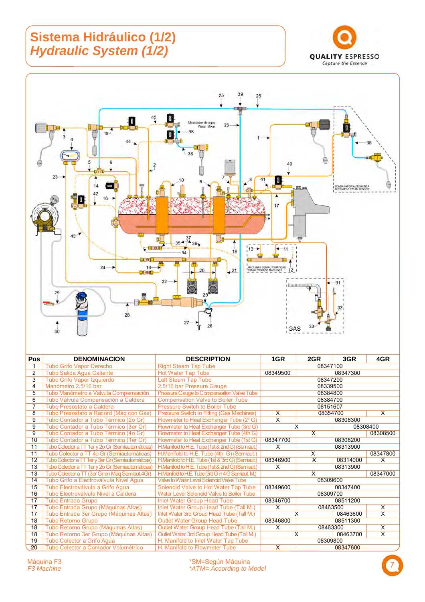## **Sistema Hidráulico (1/2)**  *Hydraulic System (1/2)*





| Pos            | <b>DENOMINACION</b>                                 | <b>DESCRIPTION</b>                                 | 1GR                     | 2GR                       | 3GR      | 4GR                     |
|----------------|-----------------------------------------------------|----------------------------------------------------|-------------------------|---------------------------|----------|-------------------------|
|                | <b>Tubo Grifo Vapor Derecho</b>                     | <b>Right Steam Tap Tube</b>                        | 08347100                |                           |          |                         |
| $\overline{2}$ | Tubo Salida Agua Caliente                           | <b>Hot Water Tap Tube</b>                          | 08349500<br>08347300    |                           |          |                         |
| 3              | Tubo Grifo Vapor Izquierdo                          | Left Steam Tap Tube                                |                         |                           | 08347200 |                         |
| 4              | Manómetro 2,5/16 bar                                | 2.5/16 bar Pressure Gauge                          |                         |                           | 08339500 |                         |
| 5              | Tubo Manómetro a Valvula Compensación               | Pressure Gauge to Compensation Valve Tube          |                         |                           | 08384800 |                         |
| 6              | Tubo Válvula Compensación a Caldera                 | <b>Compensation Valve to Boiler Tube</b>           |                         |                           | 08384700 |                         |
| 7              | Tubo Presostato a Caldera                           | Pressure Switch to Boiler Tube                     |                         |                           | 08151607 |                         |
| 8              | Tubo Presostato a Racord (Máq con Gas)              | Pressure Switch to Fitting (Gas Machines)          | X                       |                           | 08354700 | X                       |
| 9              | Tubo Contador a Tubo Térmico (2o Gr)                | Flowmeter to Heat Exchanger Tube (2° G)            | $\overline{\mathsf{x}}$ |                           | 08308300 |                         |
| 9              | Tubo Contador a Tubo Térmico (3er Gr)               | Flowmeter to Heat Exchanger Tube (3rd G)           |                         | X                         |          | 08308400                |
| 9              | Tubo Contador a Tubo Térmico (4o Gr)                | Flowmeter to Heat Exchanger Tube (4th G)           |                         | $\boldsymbol{\mathsf{x}}$ |          | 08308500                |
| 10             | Tubo Contador a Tubo Térmico (1er Gr)               | Flowmeter to Heat Exchanger Tube (1st G)           | 08347700                |                           | 08308200 |                         |
| 11             | Tubo Colector a TT 1er y 2o Gr (Semiautomáticas)    | H.Manifold to H.E. Tube (1st & 2nd G) (Semiaut.)   | X                       |                           | 08313900 |                         |
| 11             | Tubo Colector a TT 4o Gr (Semiautomáticas)          | H.Manifold to H.E. Tube (4th G) (Semiaut.)         |                         | X                         |          | 08347800                |
| 12             | Tubo Colector a TT 1 er y 3 er Gr (Semiautomáticas) | H.Manifold to H.E. Tube (1st & 3rd G) (Semiaut.)   | 08346900                | X                         | 08314000 | X                       |
| 13             | Tubo Colector a TT 1er y 2o Gr (Semiautomáticas)    | H.Manifold to H.E. Tube (1st & 2nd G) (Semiaut.)   | X                       |                           | 08313900 |                         |
| 13             | Tubo Colector a TT (3er Gr en Mág Semiaut.4Gr)      | H.Manifold to H.E. Tube (3rd G in 4 G Semiaut. M.) |                         | X                         |          | 08347000                |
| 14             | Tubo Grifo a Electroválvula Nivel Agua              | Valve to Water Level Solenoid Valve Tube           |                         |                           | 08309600 |                         |
| 15             | Tubo Electroválvula a Grifo Aqua                    | Solenoid Valve to Hot Water Tap Tube               | 08349600                |                           | 08347400 |                         |
| 16             | Tubo Electroválvula Nivel a Caldera                 | <b>Water Level Solenoid Valve to Boiler Tube</b>   |                         |                           | 08309700 |                         |
| 17             | <b>Tubo Entrada Grupo</b>                           | <b>Inlet Water Group Head Tube</b>                 | 08346700                |                           | 08511200 |                         |
| 17             | Tubo Entrada Grupo (Máquinas Altas)                 | Inlet Water Group Head Tube (Tall M.)              | X                       |                           | 08463500 | X                       |
| 17             | Tubo Entrada 3er Grupo (Máquinas Altas)             | Inlet Water 3rd Group Head Tube (Tall M.)          |                         | X                         | 08463600 | $\overline{\mathsf{x}}$ |
| 18             | Tubo Retorno Grupo                                  | Outlet Water Group Head Tube                       | 08346800                |                           | 08511300 |                         |
| 18             | Tubo Retorno Grupo (Máquinas Altas)                 | Outlet Water Group Head Tube (Tall M.)             | X                       |                           | 08463300 | X                       |
| 18             | Tubo Retorno 3er Grupo (Máquinas Altas)             | Outlet Water 3rd Group Head Tube (Tall M.)         |                         | X                         | 08463700 | $\overline{\mathsf{x}}$ |
| 19             | Tubo Colector a Grifo Agua                          | H. Manifold to Inlet Water Tap Tube                |                         |                           | 08309800 |                         |
| 20             | Tubo Colector a Contador Volumétrico                | H. Manifold to Flowmeter Tube                      | X                       |                           | 08347600 |                         |

Máquina F3 \*SM=Según Máquina *F3 Machine \*ATM= According to Model* 7

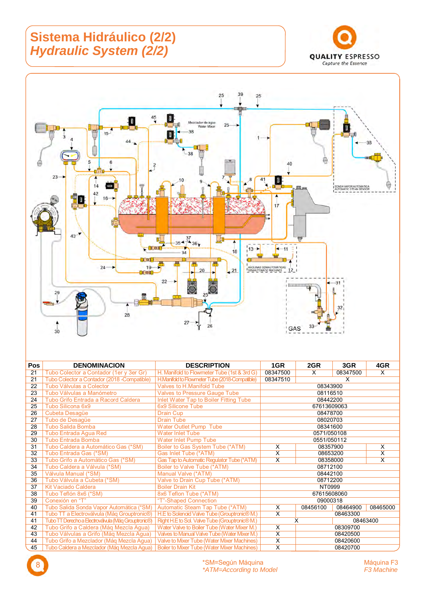## **Sistema Hidráulico (2/2)**  *Hydraulic System (2/2)*





| <b>Pos</b> | <b>DENOMINACION</b>                                 | <b>DESCRIPTION</b>                                 | 1GR                     | 2GR         | 3GR      | 4GR                     |
|------------|-----------------------------------------------------|----------------------------------------------------|-------------------------|-------------|----------|-------------------------|
| 21         | Tubo Colector a Contador (1er y 3er Gr)             | H. Manifold to Flowmeter Tube (1st & 3rd G)        | 08347500                | X           | 08347500 | X                       |
| 21         | Tubo Colector a Contador (2018 - Compatible)        | H.Manifold to Flowmeter Tube (2018-Compatible)     | 08347510                |             | X        |                         |
| 22         | Tubo Válvulas a Colector                            | Valves to H.Manifold Tube                          |                         | 08343900    |          |                         |
| 23         | Tubo Válvulas a Manómetro                           | <b>Valves to Pressure Gauge Tube</b>               |                         | 08116510    |          |                         |
| 24         | Tubo Grifo Entrada a Racord Caldera                 | Inlet Water Tap to Boiler Fitting Tube             |                         | 08442200    |          |                         |
| 25         | Tubo Silicona 6x9                                   | 6x9 Silicone Tube                                  |                         | 67613609063 |          |                         |
| 26         | Cubeta Desagüe                                      | Drain Cup                                          |                         | 08478700    |          |                         |
| 27         | Tubo de Desagüe                                     | <b>Drain Tube</b>                                  |                         | 08020703    |          |                         |
| 28         | <b>Tubo Salida Bomba</b>                            | Water Outlet Pump Tube                             |                         | 08341600    |          |                         |
| 29         | <b>Tubo Entrada Aqua Red</b>                        | <b>Water Inlet Tube</b>                            |                         | 0571/050108 |          |                         |
| 30         | <b>Tubo Entrada Bomba</b>                           | Water Inlet Pump Tube                              |                         | 0551/050112 |          |                         |
| 31         | Tubo Caldera a Automático Gas (*SM)                 | Boiler to Gas System Tube (*ATM)                   | X                       | 08357900    |          | X                       |
| 32         | Tubo Entrada Gas (*SM)                              | Gas Inlet Tube (*ATM)                              | X                       | 08653200    |          | X                       |
| 33         | Tubo Grifo a Automático Gas (*SM)                   | Gas Tap to Automatic Regulator Tube (*ATM)         | $\overline{\mathsf{x}}$ | 08358000    |          | $\overline{\mathsf{x}}$ |
| 34         | Tubo Caldera a Válvula (*SM)                        | Boiler to Valve Tube (*ATM)                        |                         | 08712100    |          |                         |
| 35         | Válvula Manual (*SM)                                | Manual Valve (*ATM)                                |                         | 08442100    |          |                         |
| 36         | Tubo Válvula a Cubeta (*SM)                         | Valve to Drain Cup Tube (*ATM)                     |                         | 08712200    |          |                         |
| 37         | <b>Kit Vaciado Caldera</b>                          | <b>Boiler Drain Kit</b>                            |                         | NT0999      |          |                         |
| 38         | Tubo Teflón 8x6 (*SM)                               | 8x6 Teflon Tube (*ATM)                             |                         | 67615608060 |          |                         |
| 39         | Conexión en "T"                                     | "T"-Shaped Connection                              | 09000318                |             |          |                         |
| 40         | Tubo Salida Sonda Vapor Automática (*SM)            | Automatic Steam Tap Tube (*ATM)                    | X                       | 08456100    | 08464900 | 08465000                |
| 41         | Tubo TT a Electroválvula (Máq Grouptronic®)         | H.E to Solenoid Valve Tube (Grouptronic® M.)       | X                       |             | 08463300 |                         |
| 41         | Tubo TT Derecho a Electroválvula (Mág Grouptronic®) | Right H.E to Sol. Valve Tube (Grouptronic® M.)     | X<br>08463400           |             |          |                         |
| 42         | Tubo Grifo a Caldera (Máq Mezcla Agua)              | Water Valve to Boiler Tube (Water Mixer M.)        | X<br>08309700           |             |          |                         |
| 43         | Tubo Válvulas a Grifo (Mág Mezcla Agua)             | Valves to Manual Valve Tube (Water Mixer M.)       | $\overline{\mathsf{x}}$ |             | 08420500 |                         |
| 44         | Tubo Grifo a Mezclador (Máq Mezcla Agua)            | Valve to Mixer Tube (Water Mixer Machines)         | X                       |             | 08420600 |                         |
| 45         | Tubo Caldera a Mezclador (Máq Mezcla Agua)          | <b>Boiler to Mixer Tube (Water Mixer Machines)</b> | $\overline{\mathsf{x}}$ |             | 08420700 |                         |

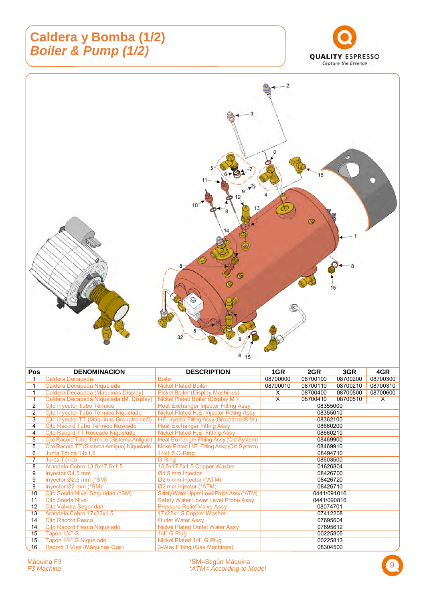#### **Caldera y Bomba (1/2)**  *Boiler & Pump (1/2)*





| <b>Pos</b>     | <b>DENOMINACION</b>                                   | <b>DESCRIPTION</b>                                       | 1GR                     | 2GR         | 3GR      | 4GR      |
|----------------|-------------------------------------------------------|----------------------------------------------------------|-------------------------|-------------|----------|----------|
|                | Caldera Decapada                                      | <b>Boiler</b>                                            | 08700000                | 08700100    | 08700200 | 08700300 |
|                | Caldera Decapada Niquelada                            | <b>Nickel Plated Boiler</b>                              | 08700010                | 08700110    | 08700210 | 08700310 |
| 1              | Caldera Decapada (Máquinas Display)                   | <b>Pickel Boiler (Display Machines)</b>                  | X                       | 08700400    | 08700500 | 08700600 |
| 1              | Caldera Decapada Niquelada (M. Display)               | <b>Nickel Plated Boiler (Display M.)</b>                 | $\overline{\mathsf{x}}$ | 08700410    | 08700510 | X        |
| 2              | Cito Invector Tubo Térmico                            | <b>Heat Exchanger Injector Fitting Assy</b>              |                         | 08355000    |          |          |
| $\overline{2}$ | Cito Invector Tubo Térmico Niquelado                  | Nickel Plated H.E. Injector Fitting Assy                 |                         | 08355010    |          |          |
| 3              | Cjto Inyector TT (Máquinas Grouptronic <sup>®</sup> ) | H.E. Injector Fitting Assy (Grouptronic <sup>®</sup> M.) |                         | 08362100    |          |          |
| 4              | Cito Racord Tubo Térmico Roscado                      | <b>Heat Exchanger Fitting Assy</b>                       |                         | 08660200    |          |          |
| $\overline{4}$ | Cito Racord TT Roscado Niquelado                      | Nickel Plated H,E. Fitting Assy                          |                         | 08660210    |          |          |
| 5              | Cito Racord Tubo Térmico (Sistema Antiquo)            | Heat Exchanger Fitting Assy (Old System)                 |                         | 08469900    |          |          |
| 5              | Cito Racord TT (Sistema Antiguo) Niquelado            | Nickel Plated H.E. Fitting Assy (Old System)             |                         | 08469910    |          |          |
| 6              | Junta Tórica 14x1,5                                   | 14x1,5 O-Ring                                            |                         | 08494710    |          |          |
| $\overline{7}$ | Junta Tórica                                          | O-Ring                                                   |                         | 08603500    |          |          |
| 8              | Arandela Cobre 13,5x17,5x1,5                          | 13,5x17,5x1,5 Copper Washer                              |                         | 01626804    |          |          |
| 9              | Inyector Ø4,5 mm                                      | Ø4.5 mm Injector                                         |                         | 08426700    |          |          |
| 9              | Invector $Ø2.5$ mm ( $*SM$ )                          | Ø2.5 mm Injector (*ATM)                                  |                         | 08426720    |          |          |
| 9              | Inyector Ø2 mm (*SM)                                  | Ø2 mm Injector (*ATM)                                    |                         | 08426710    |          |          |
| 10             | Cito Sonda Nivel Seguridad (*SM)                      | Safety Water Upper Level Probe Assy (*ATM)               |                         | 0441/091016 |          |          |
| 11             | <b>Cito Sonda Nivel</b>                               | Safety Water Lower Level Probe Assy                      |                         | 0441/090816 |          |          |
| 12             | Cito Válvula Seguridad                                | <b>Pressure Relief Valve Assy</b>                        |                         | 08074701    |          |          |
| 13             | Arandela Cobre 17x22x1,5                              | 17x22x1,5 Copper Washer                                  |                         | 07412208    |          |          |
| 14             | Cjto Racord Pesca                                     | <b>Outlet Water Assy</b>                                 | 07695604                |             |          |          |
| 14             | Cito Racord Pesca Niquelado                           | <b>Nickel Plated Outlet Water Assy</b>                   | 07695612                |             |          |          |
| 15             | Tapón 1/4" G                                          | 1/4" G Plug                                              | 00225805                |             |          |          |
| 15             | Tapón 1/4" G Niquelado                                | Nickel Plated 1/4" G Plug                                |                         | 00225813    |          |          |
| 16             | Racord 3 Vías (Máquinas Gas)                          | 3-Way Fitting (Gas Machines)                             |                         | 08304500    |          |          |

9 Máquina F3 \*SM=Según Máquina *F3 Machine \*ATM= According to Model*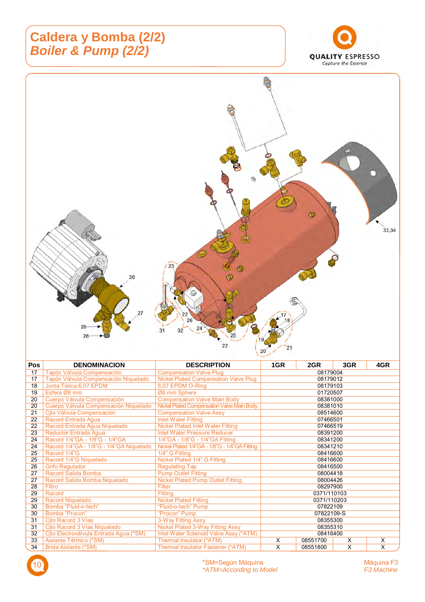## **Caldera y Bomba (2/2)**  *Boiler & Pump (2/2)*





| <b>Pos</b> | <b>DENOMINACION</b>                      | <b>DESCRIPTION</b>                            | 1GR        | 2GR         | 3GR | 4GR |
|------------|------------------------------------------|-----------------------------------------------|------------|-------------|-----|-----|
| 17         | Tapón Válvula Compensación               | <b>Compensation Valve Plug</b>                | 08179004   |             |     |     |
| 17         | Tapón Válvula Compensación Niquelado     | <b>Nickel Plated Compensation Valve Plug</b>  | 08179012   |             |     |     |
| 18         | Junta Tórica 6,07 EPDM                   | 6,07 EPDM O-Ring                              |            | 08179103    |     |     |
| 19         | Esfera Ø8 mm                             | Ø8 mm Sphere                                  |            | 01720507    |     |     |
| 20         | Cuerpo Válvula Compensación              | <b>Compensation Valve Main Body</b>           |            | 08381000    |     |     |
| 20         | Cuerpo Válvula Compensación Niquelado    | Nickel Plated Compensation Valve Main Body    |            | 08381010    |     |     |
| 21         | Cjto Válvula Compensación                | <b>Compensation Valve Assy</b>                |            | 08514600    |     |     |
| 22         | Racord Entrada Aqua                      | <b>Inlet Water Fitting</b>                    |            | 07466501    |     |     |
| 22         | Racord Entrada Agua Niquelado            | <b>Nickel Plated Inlet Water Fitting</b>      |            | 07466519    |     |     |
| 23         | <b>Reductor Entrada Agua</b>             | <b>Inlet Water Pressure Reducer</b>           | 08391200   |             |     |     |
| 24         | Racord 1/4"GA - 1/8"G - 1/4"GA           | 1/4"GA - 1/8"G - 1/4"GA Fitting               | 08341200   |             |     |     |
| 24         | Racord 1/4"GA - 1/8"G - 1/4"GA Niquelado | Nickel Plated 1/4"GA - 1/8"G - 1/4"GA Fitting | 08341210   |             |     |     |
| 25         | Racord 1/4"G                             | 1/4" G Fitting                                | 08416600   |             |     |     |
| 25         | Racord 1/4"G Niquelado                   | Nickel Plated 1/4" G Fitting                  |            | 08416600    |     |     |
| 26         | <b>Grifo Regulador</b>                   | <b>Regulating Tap</b>                         |            | 08416500    |     |     |
| 27         | <b>Racord Salida Bomba</b>               | <b>Pump Outlet Fitting</b>                    |            | 08004418    |     |     |
| 27         | Racord Salida Bomba Niquelado            | <b>Nickel Plated Pump Outlet Fitting</b>      |            | 08004426    |     |     |
| 28         | Filtro                                   | Filter                                        |            | 08297900    |     |     |
| 29         | Racord                                   | <b>Fitting</b>                                |            | 0371/110103 |     |     |
| 29         | Racord Niquelado                         | <b>Nickel Plated Fitting</b>                  |            | 0371/110203 |     |     |
| 30         | Bomba "Fluid-o-tech"                     | "Fluid-o-tech" Pump                           | 07822109   |             |     |     |
| 30         | Bomba "Procon"                           | "Procon" Pump                                 | 07822109-S |             |     |     |
| 31         | Cito Racord 3 Vías                       | 3-Way Fitting Assy                            | 08355300   |             |     |     |
| 31         | Cito Racord 3 Vías Niquelado             | Nickel Plated 3-Way Fitting Assy              | 08355310   |             |     |     |
| 32         | Cito Electroválvula Entrada Agua (*SM)   | Inlet Water Solenoid Valve Assy (*ATM)        | 08416400   |             |     |     |
| 33         | Aislante Térmico (*SM)                   | Thermal Insulator (*ATM)                      | X          | 08551700    | X   | X   |
| 34         | Brida Aislante (*SM)                     | Thermal Insulator Fastener (*ATM)             | X          | 08551800    | X   | X   |

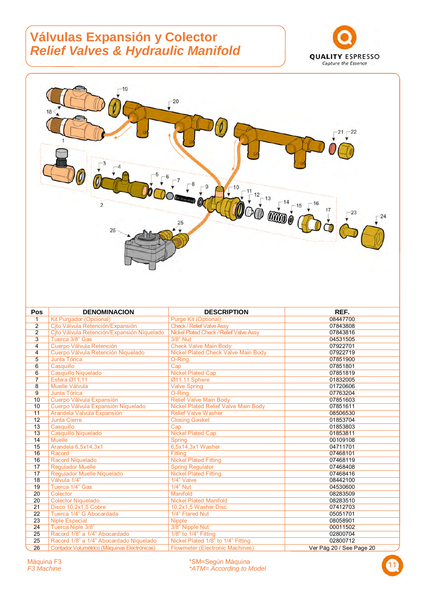#### **Válvulas Expansión y Colector**  *Relief Valves & Hydraulic Manifold*





| Pos            | <b>DENOMINACION</b>                          | <b>DESCRIPTION</b>                          | REF.                     |
|----------------|----------------------------------------------|---------------------------------------------|--------------------------|
| 1              | <b>Kit Purgador (Opcional)</b>               | <b>Purge Kit (Optional)</b>                 | 08447700                 |
| 2              | Cjto Válvula Retención/Expansión             | <b>Check / Relief Valve Assy</b>            | 07843808                 |
| $\overline{2}$ | Cjto Válvula Retención/Expansión Niquelado   | Nickel Plated Check / Relief Valve Assy     | 07843816                 |
| 3              | Tuerca 3/8" Gas                              | 3/8" Nut                                    | 04531505                 |
| 4              | Cuerpo Válvula Retención                     | <b>Check Valve Main Body</b>                | 07922701                 |
| 4              | Cuerpo Válvula Retención Niquelado           | <b>Nickel Plated Check Valve Main Body</b>  | 07922719                 |
| 5              | Junta Tórica                                 | O-Ring                                      | 07851900                 |
| 6              | Casquillo                                    | Cap                                         | 07851801                 |
| 6              | Casquillo Niquelado                          | <b>Nickel Plated Cap</b>                    | 07851819                 |
| 7              | Esfera Ø11,11                                | Ø11,11 Sphere                               | 01832005                 |
| 8              | Muelle Válvula                               | <b>Valve Spring</b>                         | 01720606                 |
| 9              | Junta Tórica                                 | O-Ring                                      | 07763204                 |
| 10             | Cuerpo Válvula Expansión                     | <b>Relief Valve Main Body</b>               | 07851603                 |
| 10             | Cuerpo Válvula Expansión Niquelado           | <b>Nickel Plated Relief Valve Main Body</b> | 07851611                 |
| 11             | Arandela Valvula Expansión                   | <b>Relief Valve Washer</b>                  | 08506530                 |
| 12             | <b>Junta Cierre</b>                          | <b>Closing Gasket</b>                       | 01853704                 |
| 13             | Casquillo                                    | Cap                                         | 01853803                 |
| 13             | Casquillo Niquelado                          | <b>Nickel Plated Cap</b>                    | 01853811                 |
| 14             | <b>Muelle</b>                                | <b>Spring</b>                               | 00109108                 |
| 15             | Arandela 6,5x14,3x1                          | 6.5x14.3x1 Washer                           | 04711701                 |
| 16             | Racord                                       | <b>Fitting</b>                              | 07468101                 |
| 16             | Racord Niquelado                             | <b>Nickel Plated Fitting</b>                | 07468119                 |
| 17             | <b>Regulador Muelle</b>                      | <b>Spring Regulator</b>                     | 07468408                 |
| 17             | Regulador Muelle Niguelado                   | <b>Nickel Plated Fitting</b>                | 07468416                 |
| 18             | Válvula 1/4"                                 | 1/4" Valve                                  | 08442100                 |
| 19             | Tuerca 1/4" Gas                              | 1/4" Nut                                    | 04530600                 |
| 20             | Colector                                     | Manifold                                    | 08283509                 |
| 20             | <b>Colector Niquelado</b>                    | <b>Nickel Plated Manifold</b>               | 08283510                 |
| 21             | Disco 10.2x1.5 Cobre                         | 10.2x1.5 Washer Disc                        | 07412703                 |
| 22             | Tuerca 1/4" G Abocardada                     | 1/4" Flared Nut                             | 05051701                 |
| 23             | <b>Niple Especial</b>                        | <b>Nipple</b>                               | 08058901                 |
| 24             | Tuerca Niple 3/8"                            | 3/8" Nipple Nut                             | 00011502                 |
| 25             | Racord 1/8" a 1/4" Abocardado                | 1/8" to 1/4" Fitting                        | 02800704                 |
| 25             | Racord 1/8" a 1/4" Abocardado Niquelado      | Nickel Plated 1/8" to 1/4" Fitting          | 02800712                 |
| 26             | Contador Volumétrico (Máquinas Electrónicas) | <b>Flowmeter (Electronic Machines)</b>      | Ver Pág 20 / See Page 20 |

11 Máquina F3 \*SM=Según Máquina *F3 Machine \*ATM= According to Model* 

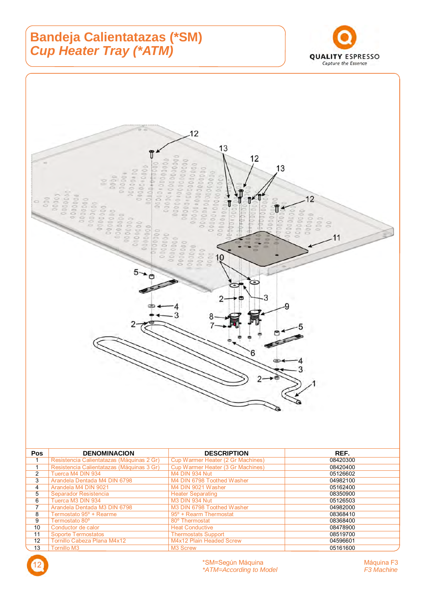## **Bandeja Calientatazas (\*SM)**  *Cup Heater Tray (\*ATM)*





Thermostats Support<br>M4x12 Plain Headed Screw 12 Tornillo Cabeza Plana M4x12 M4x12 Plain Headed Screw 04596601 13 Tornillo M3 Screw M3 Screw 2016 12 M3 Screw 2016 12 M3 Screw 2016 12 M3 Screw 2016 12 M3 Screw 2016 12 M3 Screw 2016 12 M3 Screw 2017 12 M3 Screw 2017 12 M3 Screw 2017 12 M3 Screw 2017 12 M3 Screw 2017 12 M3 Screw 2017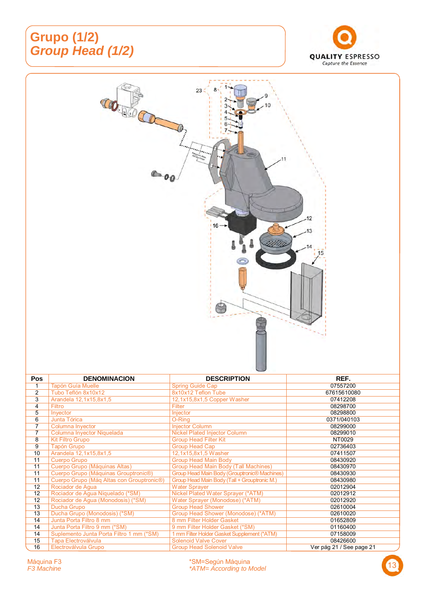## **Grupo (1/2)**  *Group Head (1/2)*





| <b>Pos</b> | <b>DENOMINACION</b>                                    | <b>DESCRIPTION</b>                           | REF.                     |
|------------|--------------------------------------------------------|----------------------------------------------|--------------------------|
|            | <b>Tapón Guía Muelle</b>                               | <b>Spring Guide Cap</b>                      | 07557200                 |
| 2          | Tubo Teflón 8x10x12                                    | 8x10x12 Teflon Tube                          | 67615610080              |
| 3          | Arandela 12,1x15,8x1,5                                 | 12,1x15,8x1,5 Copper Washer                  | 07412208                 |
| 4          | Filtro                                                 | <b>Filter</b>                                | 08298700                 |
| 5          | Invector                                               | Injector                                     | 08298800                 |
| 6          | Junta Tórica                                           | O-Ring                                       | 0371/040103              |
| 7          | Columna Inyector                                       | <b>Injector Column</b>                       | 08299000                 |
| 7          | Columna Inyector Niquelada                             | <b>Nickel Plated Injector Column</b>         | 08299010                 |
| 8          | <b>Kit Filtro Grupo</b>                                | <b>Group Head Filter Kit</b>                 | NT0029                   |
| 9          | <b>Tapón Grupo</b>                                     | Group Head Cap                               | 02736403                 |
| 10         | Arandela 12,1x15,8x1,5                                 | 12,1x15,8x1,5 Washer                         | 07411507                 |
| 11         | <b>Cuerpo Grupo</b>                                    | <b>Group Head Main Body</b>                  | 08430920                 |
| 11         | Cuerpo Grupo (Máquinas Altas)                          | <b>Group Head Main Body (Tall Machines)</b>  | 08430970                 |
| 11         | Cuerpo Grupo (Máquinas Grouptronic®)                   | Group Head Main Body (Grouptronic® Machines) | 08430930                 |
| 11         | Cuerpo Grupo (Máq Altas con Grouptronic <sup>®</sup> ) | Group Head Main Body (Tall + Grouptronic M.) | 08430980                 |
| 12         | Rociador de Aqua                                       | <b>Water Sprayer</b>                         | 02012904                 |
| 12         | Rociador de Aqua Niquelado (*SM)                       | Nickel Plated Water Sprayer (*ATM)           | 02012912                 |
| 12         | Rociador de Agua (Monodosis) (*SM)                     | Water Sprayer (Monodose) (*ATM)              | 02012920                 |
| 13         | Ducha Grupo                                            | <b>Group Head Shower</b>                     | 02610004                 |
| 13         | Ducha Grupo (Monodosis) (*SM)                          | Group Head Shower (Monodose) (*ATM)          | 02610020                 |
| 14         | Junta Porta Filtro 8 mm                                | 8 mm Filter Holder Gasket                    | 01652809                 |
| 14         | Junta Porta Filtro 9 mm (*SM)                          | 9 mm Filter Holder Gasket (*SM)              | 01160400                 |
| 14         | Suplemento Junta Porta Filtro 1 mm (*SM)               | 1 mm Filter Holder Gasket Supplement (*ATM)  | 07158009                 |
| 15         | <b>Tapa Electroválvula</b>                             | <b>Solenoid Valve Cover</b>                  | 08426600                 |
| 16         | Electroválvula Grupo                                   | <b>Group Head Solenoid Valve</b>             | Ver pág 21 / See page 21 |

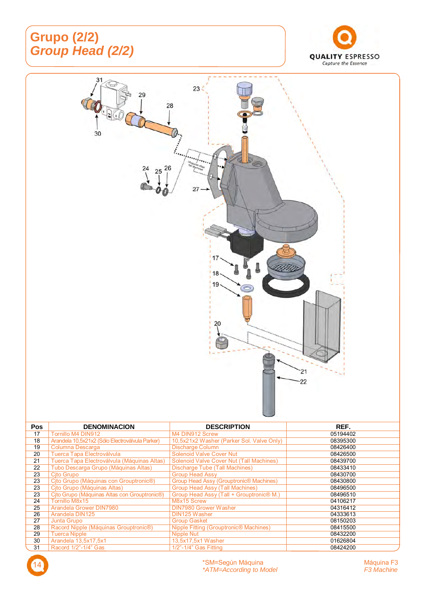## **Grupo (2/2)**  *Group Head (2/2)*





| 22 | Tubo Descarga Grupo (Máquinas Altas)         | Discharge Tube (Tall Machines)                      | 08433410 |
|----|----------------------------------------------|-----------------------------------------------------|----------|
| 23 | Cito Grupo                                   | <b>Group Head Assy</b>                              | 08430700 |
| 23 | Cjto Grupo (Máquinas con Grouptronic®)       | Group Head Assy (Grouptronic <sup>®</sup> Machines) | 08430800 |
| 23 | Cito Grupo (Máquinas Altas)                  | Group Head Assy (Tall Machines)                     | 08496500 |
| 23 | Cjto Grupo (Máquinas Altas con Grouptronic®) | Group Head Assy (Tall + Grouptronic® M.)            | 08496510 |
| 24 | Tornillo M8x15                               | M8x15 Screw                                         | 04106217 |
| 25 | Arandela Grower DIN7980                      | <b>DIN7980 Grower Washer</b>                        | 04316412 |
| 26 | Arandela DIN125                              | DIN125 Washer                                       | 04333613 |
| 27 | Junta Grupo                                  | <b>Group Gasket</b>                                 | 08150203 |
| 28 | Racord Nipple (Máquinas Grouptronic®)        | Nipple Fitting (Grouptronic <sup>®</sup> Machines)  | 08415500 |
| 29 | <b>Tuerca Nipple</b>                         | Nipple Nut                                          | 08432200 |
| 30 | Arandela 13,5x17,5x1                         | 13,5x17,5x1 Washer                                  | 01626804 |
| 31 | Racord 1/2"-1/4" Gas                         | 1/2"-1/4" Gas Fitting                               | 08424200 |

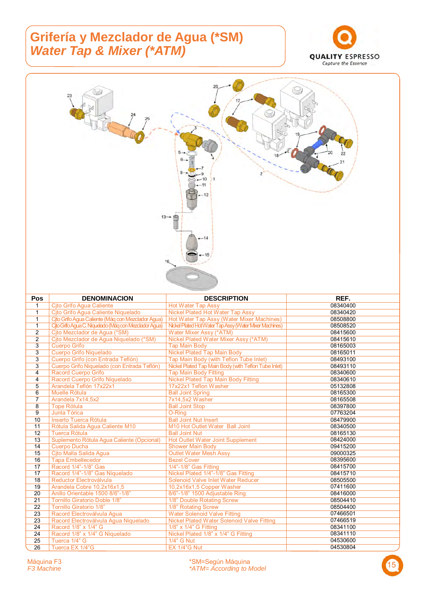#### **Grifería y Mezclador de Agua (\*SM)** *Water Tap & Mixer (\*ATM)*





| Pos             | <b>DENOMINACION</b>                                   | <b>DESCRIPTION</b>                                      | REF.     |
|-----------------|-------------------------------------------------------|---------------------------------------------------------|----------|
| 1               | Cito Grifo Agua Caliente                              | <b>Hot Water Tap Assy</b>                               | 08340400 |
| $\mathbf{1}$    | Cito Grifo Aqua Caliente Niquelado                    | Nickel Plated Hot Water Tap Assy                        | 08340420 |
| $\mathbf{1}$    | Cito Grifo Agua Caliente (Máq con Mezclador Agua)     | Hot Water Tap Assy (Water Mixer Machines)               | 08508800 |
| $\mathbf{1}$    | Cito Grifo Aqua C. Niquelado (Mág con Mezclador Aqua) | Nickel Plated Hot Water Tap Assy (Water Mixer Machines) | 08508520 |
| $\overline{2}$  | Cito Mezclador de Agua (*SM)                          | Water Mixer Assy (*ATM)                                 | 08415600 |
| $\overline{2}$  | Cjto Mezclador de Agua Niquelado (*SM)                | Nickel Plated Water Mixer Assy (*ATM)                   | 08415610 |
| 3               | Cuerpo Grifo                                          | <b>Tap Main Body</b>                                    | 08165003 |
| 3               | <b>Cuerpo Grifo Niquelado</b>                         | <b>Nickel Plated Tap Main Body</b>                      | 08165011 |
| 3               | Cuerpo Grifo (con Entrada Teflón)                     | Tap Main Body (with Teflon Tube Inlet)                  | 08493100 |
| 3               | Cuerpo Grifo Niquelado (con Entrada Teflón)           | Nickel Plated Tap Main Body (with Teflon Tube Inlet)    | 08493110 |
| 4               | <b>Racord Cuerpo Grifo</b>                            | <b>Tap Main Body Fitting</b>                            | 08340600 |
| $\overline{4}$  | Racord Cuerpo Grifo Niquelado                         | <b>Nickel Plated Tap Main Body Fitting</b>              | 08340610 |
| 5               | Arandela Teflón 17x22x1                               | 17x22x1 Teflon Washer                                   | 05132808 |
| 6               | Muelle Rótula                                         | <b>Ball Joint Spring</b>                                | 08165300 |
| $\overline{7}$  | Arandela 7x14,5x2                                     | 7x14,5x2 Washer                                         | 08165508 |
| 8               | <b>Tope Rótula</b>                                    | <b>Ball Joint Stop</b>                                  | 08397800 |
| 9               | Junta Tórica                                          | O-Ring                                                  | 07763204 |
| 10              | Inserto Tuerca Rótula                                 | <b>Ball Joint Nut Insert</b>                            | 08479900 |
| 11              | Rótula Salida Agua Caliente M10                       | M10 Hot Outlet Water Ball Joint                         | 08340500 |
| 12              | <b>Tuerca Rótula</b>                                  | <b>Ball Joint Nut</b>                                   | 08165130 |
| 13              | Suplemento Rótula Aqua Caliente (Opcional)            | Hot Outlet Water Joint Supplement                       | 08424000 |
| 14              | <b>Cuerpo Ducha</b>                                   | <b>Shower Main Body</b>                                 | 09415200 |
| 15              | Cito Malla Salida Agua                                | <b>Outlet Water Mesh Assy</b>                           | 09000325 |
| 16              | <b>Tapa Embellecedor</b>                              | <b>Bezel Cover</b>                                      | 08395600 |
| 17              | Racord 1/4"-1/8" Gas                                  | 1/4"-1/8" Gas Fitting                                   | 08415700 |
| 17              | Racord 1/4"-1/8" Gas Niquelado                        | Nickel Plated 1/4"-1/8" Gas Fitting                     | 08415710 |
| 18              | Reductor Electroválvula                               | Solenoid Valve Inlet Water Reducer                      | 08505500 |
| 19              | Arandela Cobre 10,2x16x1,5                            | 10,2x16x1,5 Copper Washer                               | 07411600 |
| 20              | Anillo Orientable 1500 8/6"-1/8"                      | 8/6"-1/8" 1500 Adjustable Ring                          | 08416000 |
| $\overline{21}$ | <b>Tornillo Giratorio Doble 1/8"</b>                  | 1/8" Double Rotating Screw                              | 08504410 |
| 22              | <b>Tornillo Giratorio 1/8"</b>                        | 1/8" Rotating Screw                                     | 08504400 |
| 23              | Racord Electroválvula Agua                            | <b>Water Solenoid Valve Fitting</b>                     | 07466501 |
| 23              | Racord Electroválvula Agua Niquelado                  | <b>Nickel Plated Water Solenoid Valve Fitting</b>       | 07466519 |
| 24              | Racord 1/8" x 1/4" G                                  | 1/8" x 1/4" G Fitting                                   | 08341100 |
| 24              | Racord 1/8" x 1/4" G Niquelado                        | Nickel Plated 1/8" x 1/4" G Fitting                     | 08341110 |
| 25              | Tuerca 1/4" G                                         | 1/4" G Nut                                              | 04530600 |
| $\overline{26}$ | Tuerca EX 1/4"G                                       | EX 1/4"G Nut                                            | 04530804 |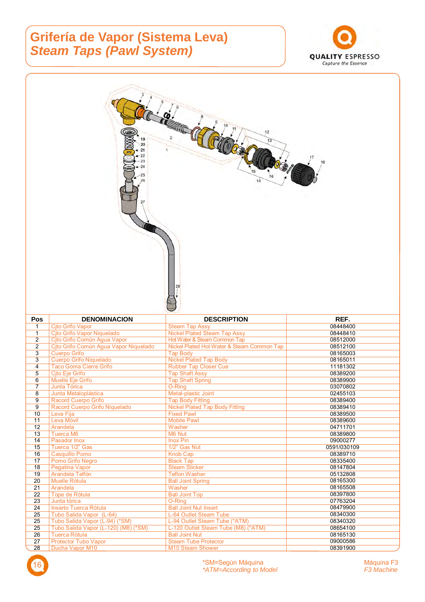## **Grifería de Vapor (Sistema Leva)**  *Steam Taps (Pawl System)*



|                     | 27                                                           | 12                                                                         |                      |
|---------------------|--------------------------------------------------------------|----------------------------------------------------------------------------|----------------------|
| <b>Pos</b>          | <b>DENOMINACION</b>                                          | <b>DESCRIPTION</b>                                                         | REF.                 |
| 1<br>$\mathbf{1}$   | <b>Cito Grifo Vapor</b>                                      | <b>Steam Tap Assy</b>                                                      |                      |
|                     |                                                              |                                                                            | 08448400             |
|                     | Cjto Grifo Vapor Niquelado                                   | <b>Nickel Plated Steam Tap Assy</b>                                        | 08448410             |
| $\overline{2}$<br>2 | Cito Grifo Común Agua Vapor                                  | Hot Water & Steam Common Tap<br>Nickel Plated Hot Water & Steam Common Tap | 08512000<br>08512100 |
| 3                   | Cito Grifo Común Agua Vapor Niquelado<br><b>Cuerpo Grifo</b> | <b>Tap Body</b>                                                            | 08165003             |
| $\overline{3}$      | <b>Cuerpo Grifo Niquelado</b>                                | <b>Nickel Plated Tap Body</b>                                              | 08165011             |
| 4                   | Taco Goma Cierre Grifo                                       | <b>Rubber Tap Closer Cue</b>                                               | 11181302             |
| $\mathbf 5$         | Cjto Eje Grifo                                               | <b>Tap Shaft Assy</b>                                                      | 08389200             |
| 6<br>$\overline{7}$ | Muelle Eje Grifo                                             | <b>Tap Shaft Spring</b>                                                    | 08389900             |
| 8                   | Junta Tórica<br>Junta Metaloplástica                         | O-Ring<br>Metal-plastic Joint                                              | 03070802<br>02455103 |
| 9                   | Racord Cuerpo Grifo                                          | <b>Tap Body Fitting</b>                                                    | 08389400             |
| 9                   | Racord Cuerpo Grifo Niquelado                                | <b>Nickel Plated Tap Body Fitting</b>                                      | 08389410             |
| 10                  | Leva Fija                                                    | <b>Fixed Pawl</b>                                                          | 08389500             |
| 11<br>12            | Leva Móvil                                                   | <b>Mobile Pawl</b>                                                         | 08389600             |
| 13                  | Arandela<br><b>Tuerca M6</b>                                 | Washer<br>M6 Nut                                                           | 04711701<br>08389800 |
| 14                  | Pasador Inox                                                 | <b>Inox Pin</b>                                                            | 09000277             |
| 15                  | Tuerca 1/2" Gas                                              | 1/2" Gas Nut                                                               | 0591/030109          |
| 16                  | <b>Casquillo Pomo</b>                                        | Knob Cap                                                                   | 08389710             |
| 17                  | Pomo Grifo Negro                                             | <b>Black Tap</b>                                                           | 08335400             |
| 18<br>19            | Pegatina Vapor<br>Arandela Telfón                            | <b>Steam Sticker</b><br><b>Teflon Washer</b>                               | 08147804<br>05132808 |
| 20                  | Muelle Rótula                                                | <b>Ball Joint Spring</b>                                                   | 08165300             |
| 21                  | Arandela                                                     | Washer                                                                     | 08165508             |
| 22                  | Tope de Rótula                                               | <b>Ball Joint Top</b>                                                      | 08397800             |
| 23<br>24            | Junta tórica<br>Inserto Tuerca Rótula                        | O-Ring<br><b>Ball Joint Nut Insert</b>                                     | 07763204<br>08479900 |
| 25                  | Tubo Salida Vapor (L-64)                                     | L-64 Outlet Steam Tube                                                     | 08340300             |
| 25                  | Tubo Salida Vapor (L-94) (*SM)                               | L-94 Outlet Steam Tube (*ATM)                                              | 08340320             |
| 25                  | Tubo Salida Vapor (L-120) (M8) (*SM)                         | L-120 Outlet Steam Tube (M8) (*ATM)                                        | 08654100             |
| 26<br>27            | Tuerca Rótula<br><b>Protector Tubo Vapor</b>                 | <b>Ball Joint Nut</b><br><b>Steam Tube Protector</b>                       | 08165130<br>09000586 |

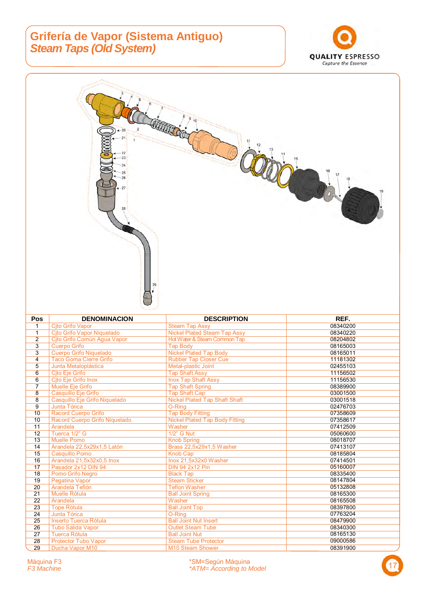#### **Grifería de Vapor (Sistema Antiguo)**  *Steam Taps (Old System)*





28 Protector Tubo Vapor Steam Tube Protector CONSESSED 19000586 29 Ducha Vapor M10 **M10 Steam Shower** M10 Steam Shower 08391900

26 Tubo Salida Vapor Outlet Steam Tube 08340300 27 <mark>Tuerca Rótula Ball Joint Nut</mark> 08165130

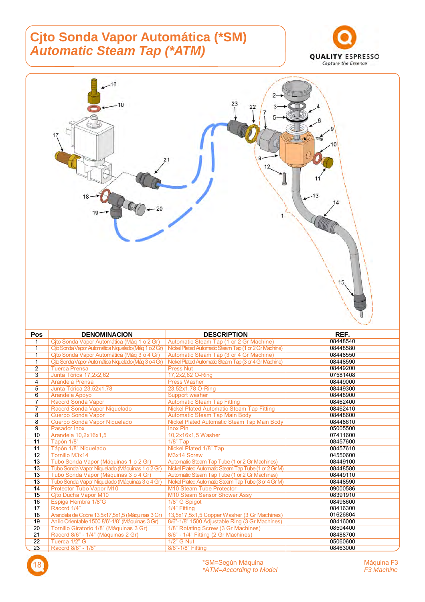#### **Cjto Sonda Vapor Automática (\*SM)**  *Automatic Steam Tap (\*ATM)*





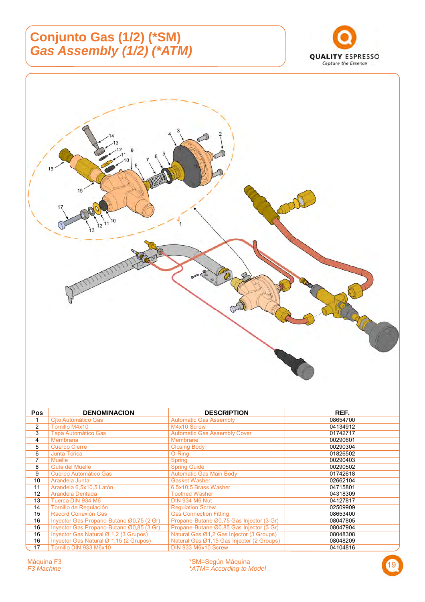## **Conjunto Gas (1/2) (\*SM)**  *Gas Assembly (1/2) (\*ATM)*





| <b>Pos</b>     | <b>DENOMINACION</b>                      | <b>DESCRIPTION</b>                        | REF.     |
|----------------|------------------------------------------|-------------------------------------------|----------|
|                | Cito Automático Gas                      | <b>Automatic Gas Assembly</b>             | 08654700 |
| $\overline{2}$ | Tornillo M4x10                           | M4x10 Screw                               | 04134912 |
| 3              | <b>Tapa Automático Gas</b>               | <b>Automatic Gas Assembly Cover</b>       | 01742717 |
| 4              | <b>Membrana</b>                          | <b>Membrane</b>                           | 00290601 |
| 5              | <b>Cuerpo Cierre</b>                     | <b>Closing Body</b>                       | 00290304 |
| 6              | Junta Tórica                             | O-Ring                                    | 01826502 |
| 7              | <b>Muelle</b>                            | <b>Spring</b>                             | 00290403 |
| 8              | Guía del Muelle                          | <b>Spring Guide</b>                       | 00290502 |
| 9              | Cuerpo Automático Gas                    | <b>Automatic Gas Main Body</b>            | 01742618 |
| 10             | Arandela Junta                           | <b>Gasket Washer</b>                      | 02662104 |
| 11             | Arandela 6,5x10,5 Latón                  | 6,5x10,5 Brass Washer                     | 04715801 |
| 12             | Arandela Dentada                         | <b>Toothed Washer</b>                     | 04318309 |
| 13             | Tuerca DIN 934 M6                        | <b>DIN 934 M6 Nut</b>                     | 04127817 |
| 14             | Tornillo de Regulación                   | <b>Requlation Screw</b>                   | 02509909 |
| 15             | Racord Conexión Gas                      | <b>Gas Connection Fitting</b>             | 08653400 |
| 16             | Invector Gas Propano-Butano Ø0,75 (2 Gr) | Propane-Butane Ø0,75 Gas Injector (3 Gr)  | 08047805 |
| 16             | Inyector Gas Propano-Butano Ø0,85 (3 Gr) | Propane-Butane Ø0,85 Gas Injector (3 Gr)  | 08047904 |
| 16             | Inyector Gas Natural Ø 1,2 (3 Grupos)    | Natural Gas Ø1,2 Gas Injector (3 Groups)  | 08048308 |
| 16             | Invector Gas Natural Ø 1,15 (2 Grupos)   | Natural Gas Ø1,15 Gas Injector (2 Groups) | 08048209 |
| 17             | Tornillo DIN 933 M6x10                   | DIN 933 M6x10 Screw                       | 04104816 |

19 Máquina F3 \*SM=Según Máquina *F3 Machine \*ATM= According to Model* 

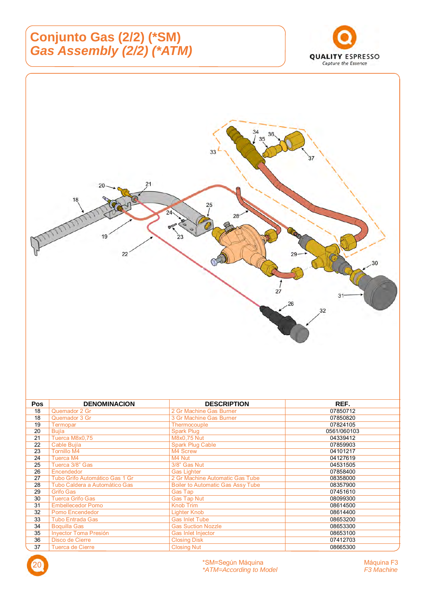## **Conjunto Gas (2/2) (\*SM)**  *Gas Assembly (2/2) (\*ATM)*





| <b>Pos</b> | <b>DENOMINACION</b>            | <b>DESCRIPTION</b>                       | REF.        |
|------------|--------------------------------|------------------------------------------|-------------|
| 18         | Quemador 2 Gr                  | 2 Gr Machine Gas Burner                  | 07850712    |
| 18         | Quemador 3 Gr                  | 3 Gr Machine Gas Burner                  | 07850820    |
| 19         | Termopar                       | Thermocouple                             | 07824105    |
| 20         | <b>Bujía</b>                   | Spark Plug                               | 0561/060103 |
| 21         | Tuerca M8x0,75                 | M8x0,75 Nut                              | 04339412    |
| 22         | Cable Bujía                    | <b>Spark Plug Cable</b>                  | 07859903    |
| 23         | <b>Tornillo M4</b>             | M4 Screw                                 | 04101217    |
| 24         | Tuerca M4                      | M4 Nut                                   | 04127619    |
| 25         | Tuerca 3/8" Gas                | 3/8" Gas Nut                             | 04531505    |
| 26         | Encendedor                     | <b>Gas Lighter</b>                       | 07858400    |
| 27         | Tubo Grifo Automático Gas 1 Gr | 2 Gr Machine Automatic Gas Tube          | 08358000    |
| 28         | Tubo Caldera a Automático Gas  | <b>Boiler to Automatic Gas Assy Tube</b> | 08357900    |
| 29         | <b>Grifo Gas</b>               | Gas Tap                                  | 07451610    |
| 30         | <b>Tuerca Grifo Gas</b>        | <b>Gas Tap Nut</b>                       | 08099300    |
| 31         | <b>Embellecedor Pomo</b>       | <b>Knob Trim</b>                         | 08614500    |
| 32         | Pomo Encendedor                | Lighter Knob                             | 08614400    |
| 33         | <b>Tubo Entrada Gas</b>        | <b>Gas Inlet Tube</b>                    | 08653200    |
| 34         | <b>Boquilla Gas</b>            | <b>Gas Suction Nozzle</b>                | 08653300    |
| 35         | Inyector Toma Presión          | Gas Inlet Injector                       | 08653100    |
| 36         | Disco de Cierre                | <b>Closing Disk</b>                      | 07412703    |
| 37         | <b>Tuerca de Cierre</b>        | <b>Closing Nut</b>                       | 08665300    |

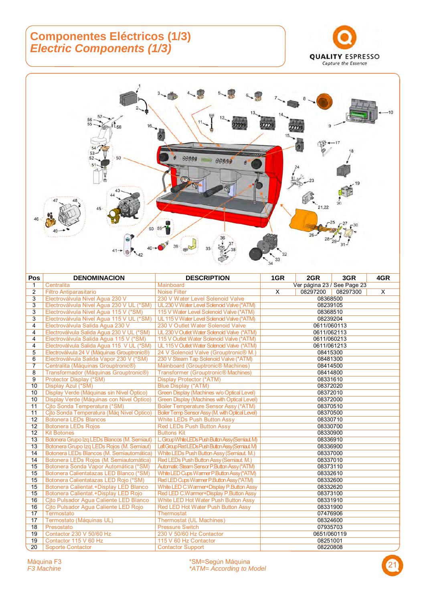#### **Componentes Eléctricos (1/3)**  *Electric Components (1/3)*





| Pos             | <b>DENOMINACION</b>                                | <b>DESCRIPTION</b>                              | 1GR                         | 2GR         | 3GR      | 4GR |  |
|-----------------|----------------------------------------------------|-------------------------------------------------|-----------------------------|-------------|----------|-----|--|
| 1               | Centralita                                         | Mainboard                                       | Ver página 23 / See Page 23 |             |          |     |  |
| $\mathbf{2}$    | <b>Filtro Antiparasitario</b>                      | <b>Noise Filter</b>                             | X                           | 08297200    | 08297300 | X   |  |
| 3               | Electroválvula Nivel Agua 230 V                    | 230 V Water Level Solenoid Valve                | 08368500                    |             |          |     |  |
| 3               | Electroválvula Nivel Agua 230 V UL (*SM)           | UL 230 V Water Level Solenoid Valve (*ATM)      |                             | 08239105    |          |     |  |
| 3               | Electroválvula Nivel Agua 115 V (*SM)              | 115 V Water Level Solenoid Valve (*ATM)         |                             | 08368510    |          |     |  |
| 3               | Electroválvula Nivel Aqua 115 V UL (*SM)           | UL 115 V Water Level Solenoid Valve (*ATM)      |                             | 08239204    |          |     |  |
| 4               | Electroválvula Salida Agua 230 V                   | 230 V Outlet Water Solenoid Valve               |                             | 0611/060113 |          |     |  |
| $\overline{4}$  | Electroválvula Salida Agua 230 V UL (*SM)          | UL 230 V Outlet Water Solenoid Valve (*ATM)     |                             | 0611/062113 |          |     |  |
| 4               | Electroválvula Salida Agua 115 V (*SM)             | 115 V Outlet Water Solenoid Valve (*ATM)        |                             | 0611/060213 |          |     |  |
| 4               | Electroválvula Salida Agua 115 V UL (*SM)          | UL 115 V Outlet Water Solenoid Valve (*ATM)     |                             | 0611/061213 |          |     |  |
| 5               | Electroválvula 24 V (Máquinas Grouptronic®)        | 24 V Solenoid Valve (Grouptronic® M.)           |                             | 08415300    |          |     |  |
| 6               | Electroválvula Salida Vapor 230 V (*SM)            | 230 V Steam Tap Solenoid Valve (*ATM)           |                             | 08481300    |          |     |  |
| $\overline{7}$  | Centralita (Máquinas Grouptronic <sup>®</sup> )    | <b>Mainboard (Grouptronic® Machines)</b>        |                             | 08414500    |          |     |  |
| 8               | Transformador (Máquinas Grouptronic <sup>®</sup> ) | <b>Transformer (Grouptronic® Machines)</b>      |                             | 08414800    |          |     |  |
| 9               | Protector Display (*SM)                            | <b>Display Protector (*ATM)</b>                 |                             | 08331610    |          |     |  |
| 10              | Display Azul (*SM)                                 | Blue Display (*ATM)                             |                             | 08372020    |          |     |  |
| 10              | Display Verde (Máquinas sin Nivel Óptico)          | Green Display (Machines w/o Optical Level)      |                             | 08372010    |          |     |  |
| 10              | Display Verde (Máquinas con Nivel Óptico)          | Green Display (Machines with Optical Level)     |                             | 08372000    |          |     |  |
| 11              | Cjto Sonda Temperatura (*SM)                       | <b>Boiler Temperature Sensor Assy (*ATM)</b>    |                             | 08370510    |          |     |  |
| 11              | Cito Sonda Temperatura (Máq Nivel Óptico)          | Boiler Temp Sensor Assy (M. with Optical Level) |                             | 08370500    |          |     |  |
| 12              | <b>Botonera LEDs Blancos</b>                       | <b>White LEDs Push Button Assy</b>              |                             | 08330710    |          |     |  |
| $\overline{12}$ | <b>Botonera LEDs Rojos</b>                         | <b>Red LEDs Push Button Assy</b>                |                             | 08330700    |          |     |  |
| 12              | <b>Kit Botones</b>                                 | <b>Buttons Kit</b>                              |                             | 08330900    |          |     |  |
| 13              | Botonera Grupo Izq LEDs Blancos (M. Semiaut)       | L Group White LEDs Push Button Assy (Semiaut M) |                             | 08336910    |          |     |  |
| 13              | Botonera Grupo Izq LEDs Rojos (M. Semiaut)         | LeftGroup Red LEDs Push Button Assy (Semiaut M) |                             | 08336900    |          |     |  |
| 14              | Botonera LEDs Blancos (M. Semiautomática)          | White LEDs Push Button Assy (Semiaut. M.)       |                             | 08337000    |          |     |  |
| 14              | Botonera LEDs Rojos (M. Semiautomática)            | Red LEDs Push Button Assy (Semiaut. M.)         |                             | 08337010    |          |     |  |
| 15              | Botonera Sonda Vapor Automática (*SM)              | Automatic Steam Sensor P.Button Assy (*ATM)     |                             | 08373110    |          |     |  |
| 15              | Botonera Calientatazas LED Blanco (*SM)            | White LED Cups Warmer P.Button Assy (*ATM)      |                             | 08332610    |          |     |  |
| 15              | Botonera Calientatazas LED Rojo (*SM)              | Red LED Cups Warmer P.Button Assy (*ATM)        |                             | 08332600    |          |     |  |
| 15              | Botonera Calientat.+Display LED Blanco             | White LED C.Warmer+Display P.Button Assy        |                             | 08332620    |          |     |  |
| 15              | Botonera Calientat.+Display LED Rojo               | Red LED C.Warmer+Display P.Button Assy          |                             | 08373100    |          |     |  |
| 16              | Cito Pulsador Agua Caliente LED Blanco             | White LED Hot Water Push Button Assy            |                             | 08331910    |          |     |  |
| 16              | Cjto Pulsador Agua Caliente LED Rojo               | <b>Red LED Hot Water Push Button Assy</b>       |                             | 08331900    |          |     |  |
| 17              | Termostato                                         | <b>Thermostat</b>                               |                             | 07476906    |          |     |  |
| 17              | Termostato (Máquinas UL)                           | <b>Thermostat (UL Machines)</b>                 |                             | 08324600    |          |     |  |
| 18              | Presostato                                         | <b>Pressure Switch</b>                          |                             | 07935703    |          |     |  |
| 19              | Contactor 230 V 50/60 Hz                           | 230 V 50/60 Hz Contactor                        |                             | 0651/060119 |          |     |  |
| 19              | Contactor 115 V 60 Hz                              | 115 V 60 Hz Contactor                           |                             | 08251001    |          |     |  |
| 20              | <b>Soporte Contactor</b>                           | <b>Contactor Support</b>                        |                             | 08220808    |          |     |  |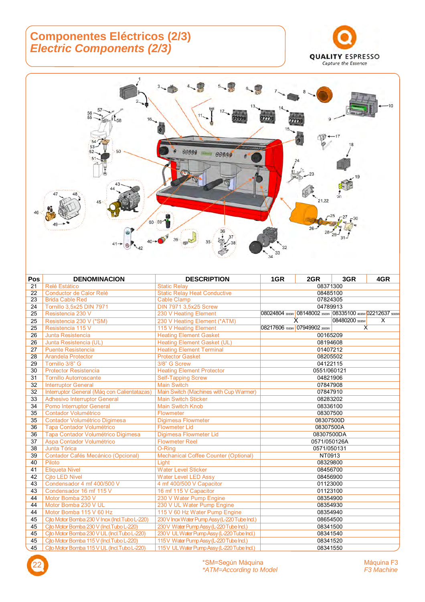#### **Componentes Eléctricos (2/3)**  *Electric Components (2/3)*





| Pos | <b>DENOMINACION</b>                           | <b>DESCRIPTION</b>                            | 1GR      | 2GR                                                         | 3GR            | 4GR |
|-----|-----------------------------------------------|-----------------------------------------------|----------|-------------------------------------------------------------|----------------|-----|
| 21  | Relé Estático                                 | <b>Static Relav</b>                           | 08371300 |                                                             |                |     |
| 22  | Conductor de Calor Relé                       | <b>Static Relay Heat Conductive</b>           | 08485100 |                                                             |                |     |
| 23  | <b>Brida Cable Red</b>                        | <b>Cable Clamp</b>                            | 07824305 |                                                             |                |     |
| 24  | Tornillo 3,5x25 DIN 7971                      | DIN 7971 3,5x25 Screw                         |          | 04789913                                                    |                |     |
| 25  | Resistencia 230 V                             | 230 V Heating Element                         |          | 08024804 3000w 08148002 3500w 08335100 4600w 02212637 5000w |                |     |
| 25  | Resistencia 230 V (*SM)                       | 230 V Heating Element (*ATM)                  |          | X                                                           | 08480200 5500W | X   |
| 25  | Resistencia 115 V                             | 115 V Heating Element                         |          | 08217606 1500W 07949902 2600W                               | $\times$       |     |
| 26  | Junta Resistencia                             | <b>Heating Element Gasket</b>                 |          | 00165209                                                    |                |     |
| 26  | Junta Resistencia (UL)                        | <b>Heating Element Gasket (UL)</b>            |          | 08194608                                                    |                |     |
| 27  | <b>Puente Resistencia</b>                     | <b>Heating Element Terminal</b>               |          | 01407212                                                    |                |     |
| 28  | <b>Arandela Protector</b>                     | <b>Protector Gasket</b>                       |          | 08205502                                                    |                |     |
| 29  | Tornillo 3/8" G                               | 3/8" G Screw                                  |          | 04122115                                                    |                |     |
| 30  | <b>Protector Resistencia</b>                  | <b>Heating Element Protector</b>              |          | 0551/060121                                                 |                |     |
| 31  | <b>Tornillo Autorroscante</b>                 | <b>Self-Tapping Screw</b>                     |          | 04821906                                                    |                |     |
| 32  | <b>Interruptor General</b>                    | <b>Main Switch</b>                            |          | 07847908                                                    |                |     |
| 32  | Interruptor General (Máq con Calientatazas)   | Main Switch (Machines with Cup Warmer)        |          | 07847910                                                    |                |     |
| 33  | <b>Adhesivo Interruptor General</b>           | <b>Main Switch Sticker</b>                    |          | 08283202                                                    |                |     |
| 34  | <b>Pomo Interruptor General</b>               | <b>Main Switch Knob</b>                       |          | 08336100                                                    |                |     |
| 35  | <b>Contador Volumétrico</b>                   | Flowmeter                                     |          | 08307500                                                    |                |     |
| 35  | Contador Volumétrico Digimesa                 | Digimesa Flowmeter                            |          | 08307500D                                                   |                |     |
| 36  | Tapa Contador Volumétrico                     | <b>Flowmeter Lid</b>                          |          | 08307500A                                                   |                |     |
| 36  | Tapa Contador Volumétrico Digimesa            | Digimesa Flowmeter Lid                        |          | 08307500DA                                                  |                |     |
| 37  | Aspa Contador Volumétrico                     | <b>Flowmeter Reel</b>                         |          | 0571/050126A                                                |                |     |
| 38  | Junta Tórica                                  | O-Ring                                        |          | 0571/050131                                                 |                |     |
| 39  | <b>Contador Cafés Mecánico (Opcional)</b>     | <b>Mechanical Coffee Counter (Optional)</b>   |          | NT0913                                                      |                |     |
| 40  | Piloto                                        | Light                                         |          | 08329800                                                    |                |     |
| 41  | <b>Etiqueta Nivel</b>                         | <b>Water Level Sticker</b>                    |          | 08456700                                                    |                |     |
| 42  | <b>Cito LED Nivel</b>                         | <b>Water Level LED Assy</b>                   |          | 08456900                                                    |                |     |
| 43  | Condensador 4 mf 400/500 V                    | 4 mf 400/500 V Capacitor                      |          | 01123000                                                    |                |     |
| 43  | Condensador 16 mf 115 V                       | 16 mf 115 V Capacitor                         |          | 01123100                                                    |                |     |
| 44  | Motor Bomba 230 V                             | 230 V Water Pump Engine                       |          | 08354900                                                    |                |     |
| 44  | Motor Bomba 230 V UL                          | 230 V UL Water Pump Engine                    |          | 08354930                                                    |                |     |
| 44  | Motor Bomba 115 V 60 Hz                       | 115 V 60 Hz Water Pump Engine                 |          | 08354940                                                    |                |     |
| 45  | Cito Motor Bomba 230 V Inox (Incl.Tubo L-220) | 230 V Inox Water Pump Assy (L-220 Tube Incl.) |          | 08654500                                                    |                |     |
| 45  | Cito Motor Bomba 230 V (Incl. Tubo L-220)     | 230 V Water Pump Assy (L-220 Tube Ind.)       |          | 08341500                                                    |                |     |
| 45  | Cjto Motor Bomba 230 V UL (Incl.Tubo L-220)   | 230 V UL Water Pump Assy (L-220 Tube Incl.)   |          | 08341540                                                    |                |     |
| 45  | Cito Motor Bomba 115 V (Incl. Tubo L-220)     | 115 V Water Pump Assy (L-220 Tube Incl.)      |          | 08341520                                                    |                |     |
| 45  | Cito Motor Bomba 115 V UL (Incl. Tubo L-220)  | 115 V UL Water Pump Assy (L-220 Tube Incl.)   |          | 08341550                                                    |                |     |

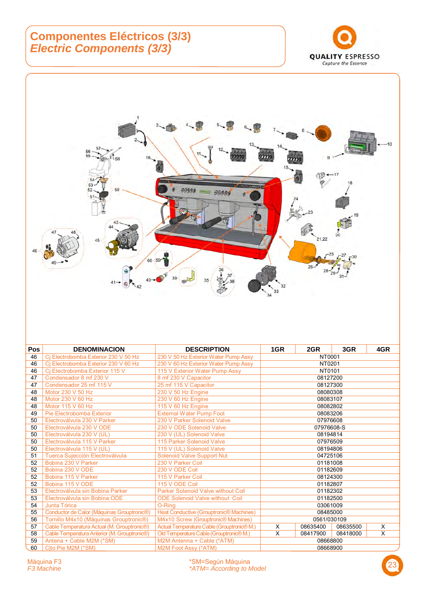#### **Componentes Eléctricos (3/3)**  *Electric Components (3/3)*





| <b>Pos</b> | <b>DENOMINACION</b>                                       | <b>DESCRIPTION</b>                         | 1GR        | 2GR         | 3GR      | 4GR |
|------------|-----------------------------------------------------------|--------------------------------------------|------------|-------------|----------|-----|
| 46         | Ci Electrobomba Exterior 230 V 50 Hz                      | 230 V 50 Hz Exterior Water Pump Assy       | NT0001     |             |          |     |
| 46         | Ci Electrobomba Exterior 230 V 60 Hz                      | 230 V 60 Hz Exterior Water Pump Assy       | NT0201     |             |          |     |
| 46         | Cj Electrobomba Exterior 115 V                            | 115 V Exterior Water Pump Assy             |            | NT0101      |          |     |
| 47         | Condensador 8 mf 230 V                                    | 8 mf 230 V Capacitor                       |            | 08127200    |          |     |
| 47         | Condensador 25 mf 115 V                                   | 25 mf 115 V Capacitor                      |            | 08127300    |          |     |
| 48         | Motor 230 V 50 Hz                                         | 230 V 50 Hz Engine                         |            | 08080308    |          |     |
| 48         | Motor 230 V 60 Hz                                         | 230 V 60 Hz Engine                         |            | 08083107    |          |     |
| 48         | Motor 115 V 60 Hz                                         | 115 V 60 Hz Engine                         |            | 08082802    |          |     |
| 49         | Pie Electrobomba Exterior                                 | <b>External Water Pump Foot</b>            |            | 08083206    |          |     |
| 50         | Electroválvula 230 V Parker                               | 230 V Parker Solenoid Valve                |            | 07976608    |          |     |
| 50         | Electroválvula 230 V ODE                                  | 230 V ODE Solenoid Valve                   | 07976608-S |             |          |     |
| 50         | Electroválvula 230 V (UL)                                 | 230 V (UL) Solenoid Valve                  | 08194814   |             |          |     |
| 50         | Electroválvula 115 V Parker                               | 115 Parker Solenoid Valve                  |            | 07976509    |          |     |
| 50         | Electroválvula 115 V (UL)                                 | 115 V (UL) Solenoid Valve                  | 08194806   |             |          |     |
| 51         | Tuerca Sujección Electroválvula                           | <b>Solenoid Valve Support Nut</b>          |            | 04725106    |          |     |
| 52         | Bobina 230 V Parker                                       | 230 V Parker Coil                          |            | 01181008    |          |     |
| 52         | Bobina 230 V ODE                                          | 230 V ODE Coil                             |            | 01182609    |          |     |
| 52         | Bobina 115 V Parker                                       | 115 V Parker Coil                          |            | 08124300    |          |     |
| 52         | Bobina 115 V ODE                                          | 115 V ODE Coil                             |            | 01182807    |          |     |
| 53         | Electroválvula sin Bobina Parker                          | Parker Solenoid Valve without Coil         |            | 01182302    |          |     |
| 53         | Electroválvula sin Bobina ODE                             | <b>ODE Solenoid Valve without Coil</b>     |            | 01182500    |          |     |
| 54         | Junta Tórica                                              | O-Ring                                     |            | 03061009    |          |     |
| 55         | Conductor de Calor (Máquinas Grouptronic <sup>®</sup> )   | Heat Conductive (Grouptronic® Machines)    | 08485000   |             |          |     |
| 56         | Tornillo M4x10 (Máquinas Grouptronic®)                    | M4x10 Screw (Grouptronic® Machines)        |            | 0561/030109 |          |     |
| 57         | Cable Temperatura Actual (M. Grouptronic®)                | Actual Temperature Cable (Grouptronic® M.) | X          | 08635400    | 08635500 | X   |
| 58         | Cable Temperatura Anterior (M. Grouptronic <sup>®</sup> ) | Old Temperature Cable (Grouptronic® M.)    | X          | 08417900    | 08418000 | X   |
| 59         | Antena + Cable M2M (*SM)                                  | M2M Antenna + Cable (*ATM)                 | 08668800   |             |          |     |
| 60         | Cito Pie M2M (*SM)                                        | M2M Foot Assy (*ATM)                       | 08668900   |             |          |     |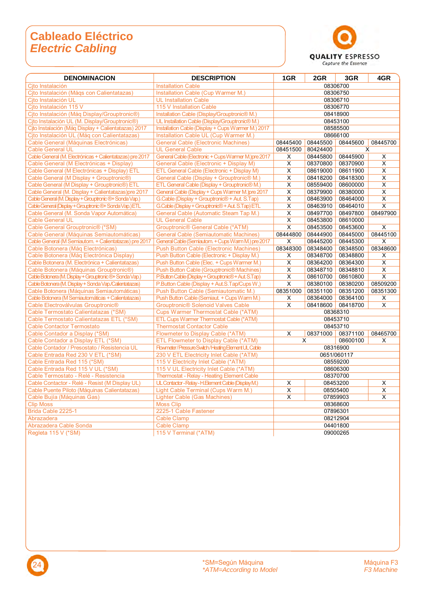#### **Cableado Eléctrico**  *Electric Cabling*



| <b>DENOMINACION</b>                                                  | <b>DESCRIPTION</b>                                                                          | 1GR                       | 2GR           | 3GR                  | 4GR                     |
|----------------------------------------------------------------------|---------------------------------------------------------------------------------------------|---------------------------|---------------|----------------------|-------------------------|
| Cito Instalación                                                     | <b>Installation Cable</b>                                                                   | 08306700                  |               |                      |                         |
| Cito Instalación (Mágs con Calientatazas)                            | Installation Cable (Cup Warmer M.)                                                          |                           |               | 08306750             |                         |
| Cito Instalación UL                                                  | <b>UL Installation Cable</b>                                                                | 08306710                  |               |                      |                         |
| Cito Instalación 115 V                                               | 115 V Installation Cable                                                                    | 08306770                  |               |                      |                         |
| Cjto Instalación (Máq Display/Grouptronic®)                          | Installation Cable (Display/Grouptronic® M.)                                                |                           |               | 08418900             |                         |
| Cjto Instalación UL (M. Display/Grouptronic®)                        | UL Installation Cable (Display/Grouptronic® M.)                                             |                           |               | 08453100             |                         |
| Cito Instalación (Mág Display + Calientatazas) 2017                  | Installation Cable (Display + Cups Warmer M.) 2017                                          |                           |               | 08585500             |                         |
| Cito Instalación UL (Máq con Calientatazas)                          | Installation Cable UL (Cup Warmer M.)                                                       |                           |               | 08666100             |                         |
| Cable General (Máquinas Electrónicas)                                | <b>General Cable (Electronic Machines)</b>                                                  | 08445400                  | 08445500      | 08445600             | 08445700                |
| <b>Cable General UL</b>                                              | <b>UL General Cable</b>                                                                     | 08451500                  | 80424400      |                      | X                       |
| Cable General (M. Electrónicas + Calientatazas) pre 2017             | General Cable (Electronic + Cups Warmer M.) pre 2017                                        | X                         | 08445800      | 08445900             | X                       |
| Cable General (M Electrónicas + Display)                             | General Cable (Electronic + Display M)                                                      | X                         | 08370800      | 08370900             | X                       |
| Cable General (M Electrónicas + Display) ETL                         | ETL General Cable (Electronic + Display M)                                                  | X                         | 08619000      | 08611900             | Χ                       |
| Cable General (M Display + Grouptronic®)                             | General Cable (Display + Grouptronic® M.)                                                   | X                         | 08418200      | 08418300             | X                       |
| Cable General (M Display + Grouptronic®) ETL                         | ETL General Cable (Display + Grouptronic® M.)                                               | X                         | 08559400      | 08600000             | X                       |
| Cable General (M. Display + Calientatazas) pre 2017                  | General Cable (Display + Cups Warmer M.) pre 2017                                           | X                         | 08379900      | 08380000             | X                       |
| Cable General (M. Display + Grouptronic ®+ Sonda Vap.)               | G.Cable (Display + Grouptronic® + Aut. S.Tap)                                               | Χ                         | 08463900      | 08464000             | X                       |
| Cable General (Display + Grouptronic ®+ Sonda Vap.) ETL              | G.Cable (Display + Grouptronic® + Aut. S.Tap) ETL                                           | X                         | 08463910      | 08464010             | X                       |
| Cable General (M. Sonda Vapor Automática)                            | General Cable (Automatic Steam Tap M.)                                                      | X                         | 08497700      | 08497800             | 08497900                |
| <b>Cable General UL</b>                                              | <b>UL General Cable</b>                                                                     | X                         | 08453800      | 08610000             |                         |
| Cable General Grouptronic <sup>®</sup> (*SM)                         | <b>Grouptronic® General Cable (*ATM)</b>                                                    | X                         | 08453500      | 08453600             | X                       |
| Cable General (Máquinas Semiautomáticas)                             | <b>General Cable (Semiautomatic Machines)</b>                                               | 08444800                  | 08444900      | 08445000             | 08445100                |
| Cable General (M Semiautom. + Calientatazas) pre 2017                | General Cable (Semiautom. + Cups Warm M.) pre 2017                                          | X                         | 08445200      | 08445300             | X                       |
| Cable Botonera (Máq Electrónicas)                                    | <b>Push Button Cable (Electronic Machines)</b>                                              | 08348300                  | 08348400      | 08348500             | 08348600                |
| Cable Botonera (Máq Electrónica Display)                             | Push Button Cable (Electronic + Display M.)                                                 | X                         | 08348700      | 08348800             | X                       |
| Cable Botonera (M. Electrónica + Calientatazas)                      | Push Button Cable (Elec. + Cups Warmer M.)                                                  | $\overline{\mathsf{X}}$   | 08364200      | 08364300             | $\overline{\mathsf{X}}$ |
| Cable Botonera (Máquinas Grouptronic®)                               | Push Button Cable (Grouptronic <sup>®</sup> Machines)                                       | X                         | 08348710      | 08348810             | $\overline{\mathsf{x}}$ |
| Cable Botonera (M. Display + Grouptronic ®+ Sonda Vap.)              | P.Button Cable (Display + Grouptronic® + Aut. S.Tap)                                        | X                         | 08610700      | 08610800             | X                       |
| Cable Botonera (M. Display + Sonda Vap./Calientatazas)               | P.Button Cable (Display + Aut.S.Tap/Cups W,)                                                | X                         | 08380100      | 08380200             | 08509200                |
| Cable Botonera (Máquinas Semiautomáticas)                            | Push Button Cable (Semiautomatic M.)                                                        | 08351000                  | 08351100      | 08351200             | 08351300                |
| Cable Botonera (M Semiautomáticas + Calientatazas)                   | Push Button Cable (Semiaut. + Cups Warm M.)                                                 | X                         | 08364000      | 08364100             | X                       |
| Cable Electroválvulas Grouptronic®                                   | <b>Grouptronic<sup>®</sup> Solenoid Valves Cable</b>                                        | X                         | 08418600      | 08418700             | X                       |
| Cable Termostato Calientatazas (*SM)                                 | <b>Cups Warmer Thermostat Cable (*ATM)</b>                                                  |                           |               | 08368310             |                         |
| Cable Termostato Calientatazas ETL (*SM)                             | ETL Cups Warmer Thermostat Cable (*ATM)                                                     |                           |               | 08453710             |                         |
| <b>Cable Contactor Termostato</b>                                    | <b>Thermostat Contactor Cable</b>                                                           |                           |               | 08453710             |                         |
| Cable Contador a Display (*SM)<br>Cable Contador a Display ETL (*SM) | Flowmeter to Display Cable (*ATM)                                                           | X                         | 08371000<br>X | 08371100<br>08600100 | 08465700<br>X           |
| Cable Contador / Presostato / Resistencia UL                         | ETL Flowmeter to Display Cable (*ATM)<br>Flowmeter/Pressure Switch/Heating Element UL Cable |                           |               | 08316900             |                         |
| Cable Entrada Red 230 V ETL (*SM)                                    | 230 V ETL Electricity Inlet Cable (*ATM)                                                    |                           |               | 0651/060117          |                         |
| Cable Entrada Red 115 (*SM)                                          | 115 V Electricity Inlet Cable (*ATM)                                                        |                           |               |                      |                         |
| Cable Entrada Red 115 V UL (*SM)                                     | 115 V UL Electricity Inlet Cable (*ATM)                                                     | 08559200<br>08606300      |               |                      |                         |
| Cable Termostato - Relé - Resistencia                                | <b>Thermostat - Relay - Heating Element Cable</b>                                           |                           |               |                      |                         |
| Cable Contactor - Relé - Resist (M Display UL)                       | UL Contactor - Relay - H. Element Cable (Display M.)                                        | 08370700<br>08453200<br>X |               |                      |                         |
| Cable Puente Piloto (Máquinas Calientatazas)                         | Light Cable Terminal (Cups Warm M.)                                                         | X                         |               | X                    |                         |
| Cable Bujía (Máquinas Gas)                                           | Lighter Cable (Gas Machines)                                                                | X<br>08505400<br>X        |               | X                    |                         |
| <b>Clip Moss</b>                                                     | <b>Moss Clip</b>                                                                            | 07859903<br>08368600      |               |                      |                         |
| Brida Cable 2225-1                                                   | 2225-1 Cable Fastener                                                                       | 07896301                  |               |                      |                         |
| Abrazadera                                                           | <b>Cable Clamp</b>                                                                          | 08212904                  |               |                      |                         |
| Abrazadera Cable Sonda                                               | <b>Cable Clamp</b>                                                                          | 04401800                  |               |                      |                         |
| Regleta 115 V (*SM)                                                  | 115 V Terminal (*ATM)                                                                       |                           |               | 09000265             |                         |
|                                                                      |                                                                                             |                           |               |                      |                         |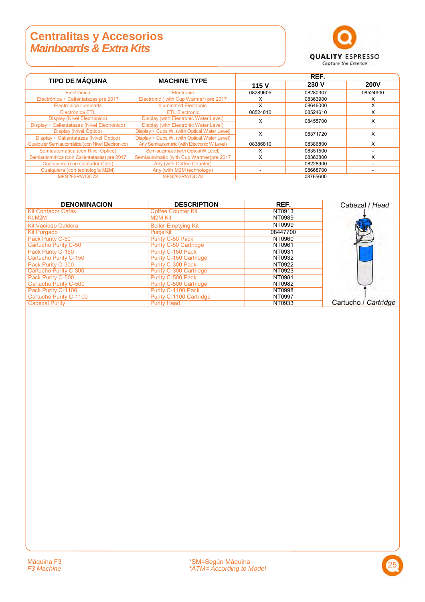#### **Centralitas y Accesorios**  *Mainboards & Extra Kits*



| <b>TIPO DE MÁQUINA</b>                           |                                              | REF.          |          |             |  |
|--------------------------------------------------|----------------------------------------------|---------------|----------|-------------|--|
|                                                  | <b>MACHINE TYPE</b>                          | 115 V         | 230 V    | <b>200V</b> |  |
| Electrónica                                      | Electronic                                   | 08289605      | 08280307 | 08524900    |  |
| Electrónica + Calientatazas pre 2017             | Electronic (with Cup Warmer) pre 2017        | х             | 08363900 | x           |  |
| Electrónica lluminada                            | <b>Illuminated Electronic</b>                | X             | 08646000 | X           |  |
| Electrónica ETL                                  | <b>ETL Electronic</b>                        | 08524810      | 08524610 | X           |  |
| Display (Nivel Electrónico)                      | Display (with Electronic Water Level)        | x             | 08455700 | X           |  |
| Display + Calientatazas (Nivel Electrónico)      | Display (with Electronic Water Level)        |               |          |             |  |
| Display (Nivel Óptico)                           | Display + Cups W. (with Optical Water Level) | X             | 08371720 | X           |  |
| Display + Calientatazas (Nivel Óptico)           | Display + Cups W. (with Optical Water Level) |               |          |             |  |
| Cualquier Semiautomática (con Nivel Electrónico) | Any Semiautomatic (with Electronic W Level)  | 08386810      | 08386800 | X           |  |
| Semiautomática (con Nivel Óptico)                | Semiautomatic (with Optical W Level)         | x             | 08351500 | -           |  |
| Semiautomática (con Calientatazas) pre 2017      | Semiautomatic (with Cup Warmer)pre 2017      | X             | 08363800 | X           |  |
| Cualquiera (con Contador Café)                   | Any (with Coffee Counter)                    |               | 08228900 |             |  |
| Cualquiera (con tecnología M2M)                  | Any (with M2M technology)                    | 08668700<br>- |          | -           |  |
| MFS292RWQC78                                     | MFS292RWQC78                                 |               | 08765600 |             |  |

| <b>DENOMINACION</b>        | <b>DESCRIPTION</b>            | REF.     | Cabezal / Head       |
|----------------------------|-------------------------------|----------|----------------------|
| <b>Kit Contador Cafés</b>  | <b>Coffee Counter Kit</b>     | NT0913   |                      |
| Kit M2M                    | M <sub>2</sub> M Kit          | NT0989   |                      |
| <b>Kit Vaciado Caldera</b> | <b>Boiler Emptying Kit</b>    | NT0999   |                      |
| <b>Kit Purgado</b>         | Purge Kit                     | 08447700 |                      |
| Pack Purity C-50           | Purity C-50 Pack              | NT0960   |                      |
| Cartucho Purity C-50       | <b>Purity C-50 Cartridge</b>  | NT0961   |                      |
| Pack Purity C-150          | Purity C-150 Pack             | NT0931   |                      |
| Cartucho Purity C-150      | Purity C-150 Cartridge        | NT0932   |                      |
| Pack Purity C-300          | Purity C-300 Pack             | NT0922   |                      |
| Cartucho Purity C-300      | <b>Purity C-300 Cartridge</b> | NT0923   |                      |
| Pack Purity C-500          | Purity C-500 Pack             | NT0981   |                      |
| Cartucho Purity C-500      | Purity C-500 Cartridge        | NT0982   |                      |
| Pack Purity C-1100         | Purity C-1100 Pack            | NT0998   |                      |
| Cartucho Purity C-1100     | Purity C-1100 Cartridge       | NT0997   |                      |
| <b>Cabezal Purity</b>      | <b>Purity Head</b>            | NT0933   | Cartucho / Cartridge |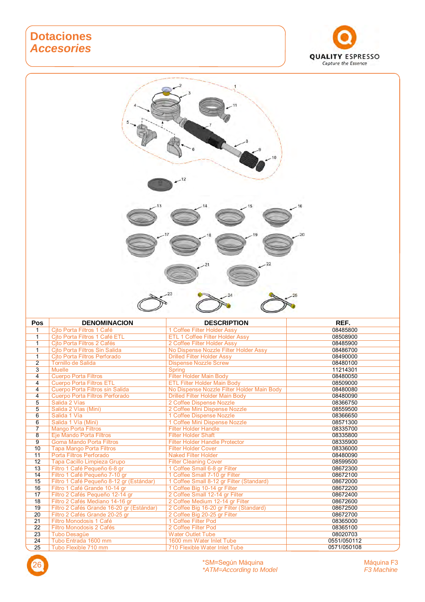#### **Dotaciones**  *Accesories*





| <b>Pos</b>      | <b>DENOMINACION</b>                       | <b>DESCRIPTION</b>                         | REF.        |
|-----------------|-------------------------------------------|--------------------------------------------|-------------|
| 1               | Cito Porta Filtros 1 Café                 | 1 Coffee Filter Holder Assy                | 08485800    |
| $\mathbf{1}$    | Cito Porta Filtros 1 Café ETL             | ETL 1 Coffee Filter Holder Assy            | 08508900    |
| $\mathbf{1}$    | Cito Porta Filtros 2 Cafés                | 2 Coffee Filter Holder Assy                | 08485900    |
| $\mathbf{1}$    | Cito Porta Filtros Sin Salida             | No Dispense Nozzle Filter Holder Assy      | 08486700    |
| 1               | Cito Porta Filtros Perforado              | <b>Drilled Filter Holder Assy</b>          | 08490000    |
| $\overline{2}$  | <b>Tornillo de Salida</b>                 | <b>Dispense Nozzle Screw</b>               | 08480100    |
| $\overline{3}$  | <b>Muelle</b>                             | <b>Spring</b>                              | 11214301    |
| 4               | <b>Cuerpo Porta Filtros</b>               | <b>Filter Holder Main Body</b>             | 08480050    |
| 4               | <b>Cuerpo Porta Filtros ETL</b>           | <b>ETL Filter Holder Main Body</b>         | 08509000    |
| 4               | Cuerpo Porta Filtros sin Salida           | No Dispense Nozzle Filter Holder Main Body | 08480080    |
| 4               | Cuerpo Porta Filtros Perforado            | <b>Drilled Filter Holder Main Body</b>     | 08480090    |
| 5               | Salida 2 Vías                             | 2 Coffee Dispense Nozzle                   | 08366750    |
| $\overline{5}$  | Salida 2 Vías (Mini)                      | 2 Coffee Mini Dispense Nozzle              | 08559500    |
| $\overline{6}$  | Salida 1 Vía                              | 1 Coffee Dispense Nozzle                   | 08366650    |
| $\overline{6}$  | Salida 1 Vía (Mini)                       | 1 Coffee Mini Dispense Nozzle              | 08571300    |
| $\overline{7}$  | <b>Mango Porta Filtros</b>                | <b>Filter Holder Handle</b>                | 08335700    |
| 8               | Eje Mando Porta Filtros                   | <b>Filter Holder Shaft</b>                 | 08335800    |
| $\overline{9}$  | <b>Goma Mando Porta Filtros</b>           | <b>Filter Holder Handle Protector</b>      | 08335900    |
| 10              | <b>Tapa Mango Porta Filtros</b>           | <b>Filter Holder Cover</b>                 | 08336000    |
| 11              | Porta Filtros Perforado                   | <b>Naked Filter Holder</b>                 | 08480090    |
| 12              | Tapa Cacillo Limpieza Grupo               | <b>Filter Cleaning Cover</b>               | 08599500    |
| 13              | Filtro 1 Café Pequeño 6-8 gr              | 1 Coffee Small 6-8 gr Filter               | 08672300    |
| 14              | Filtro 1 Café Pequeño 7-10 gr             | 1 Coffee Small 7-10 gr Filter              | 08672100    |
| 15              | Filtro 1 Café Pequeño 8-12 gr (Estándar)  | 1 Coffee Small 8-12 gr Filter (Standard)   | 08672000    |
| 16              | Filtro 1 Café Grande 10-14 gr             | 1 Coffee Big 10-14 gr Filter               | 08672200    |
| 17              | Filtro 2 Cafés Pequeño 12-14 gr           | 2 Coffee Small 12-14 gr Filter             | 08672400    |
| 18              | Filtro 2 Cafés Mediano 14-16 gr           | 2 Coffee Medium 12-14 gr Filter            | 08672600    |
| 19              | Filtro 2 Cafés Grande 16-20 gr (Estándar) | 2 Coffee Big 16-20 gr Filter (Standard)    | 08672500    |
| 20              | Filtro 2 Cafés Grande 20-25 gr            | 2 Coffee Big 20-25 gr Filter               | 08672700    |
| 21              | Filtro Monodosis 1 Café                   | 1 Coffee Filter Pod                        | 08365000    |
| 22              | Filtro Monodosis 2 Cafés                  | 2 Coffee Filter Pod                        | 08365100    |
| 23              | Tubo Desagüe                              | <b>Water Outlet Tube</b>                   | 08020703    |
| $\overline{24}$ | Tubo Entrada 1600 mm                      | 1600 mm Water Inlet Tube                   | 0551/050112 |
| 25              | Tubo Flexible 710 mm                      | 710 Flexible Water Inlet Tube              | 0571/050108 |